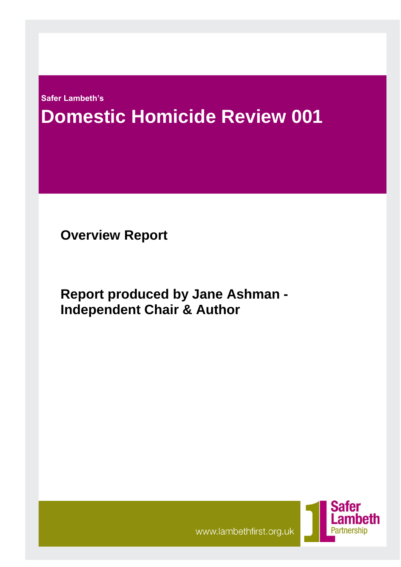**Safer Lambeth's** 

# **Domestic Homicide Review 001**

**Overview Report**

**Report produced by Jane Ashman - Independent Chair & Author**



www.lambethfirst.org.uk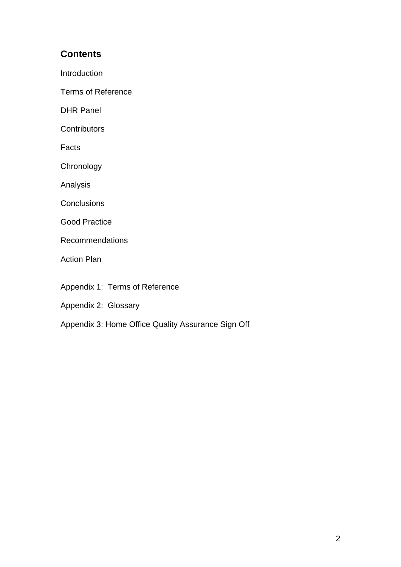# **Contents**

**Introduction** 

Terms of Reference

DHR Panel

**Contributors** 

Facts

**Chronology** 

Analysis

**Conclusions** 

Good Practice

Recommendations

Action Plan

Appendix 1: Terms of Reference

Appendix 2: Glossary

Appendix 3: Home Office Quality Assurance Sign Off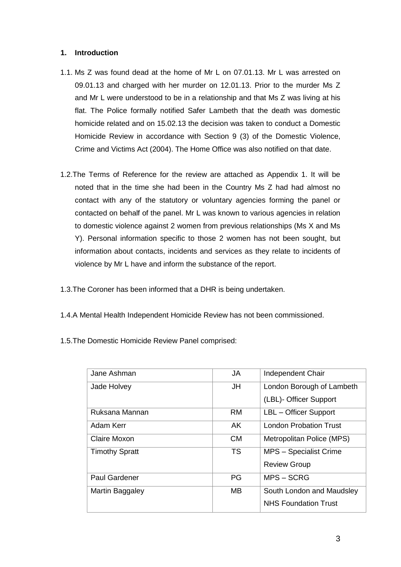## **1. Introduction**

- 1.1. Ms Z was found dead at the home of Mr L on 07.01.13. Mr L was arrested on 09.01.13 and charged with her murder on 12.01.13. Prior to the murder Ms Z and Mr L were understood to be in a relationship and that Ms Z was living at his flat. The Police formally notified Safer Lambeth that the death was domestic homicide related and on 15.02.13 the decision was taken to conduct a Domestic Homicide Review in accordance with Section 9 (3) of the Domestic Violence, Crime and Victims Act (2004). The Home Office was also notified on that date.
- 1.2.The Terms of Reference for the review are attached as Appendix 1. It will be noted that in the time she had been in the Country Ms Z had had almost no contact with any of the statutory or voluntary agencies forming the panel or contacted on behalf of the panel. Mr L was known to various agencies in relation to domestic violence against 2 women from previous relationships (Ms X and Ms Y). Personal information specific to those 2 women has not been sought, but information about contacts, incidents and services as they relate to incidents of violence by Mr L have and inform the substance of the report.
- 1.3.The Coroner has been informed that a DHR is being undertaken.
- 1.4.A Mental Health Independent Homicide Review has not been commissioned.
- 1.5.The Domestic Homicide Review Panel comprised:

| Jane Ashman           | JA        | Independent Chair             |
|-----------------------|-----------|-------------------------------|
| Jade Holvey           | JH        | London Borough of Lambeth     |
|                       |           | (LBL)- Officer Support        |
| Ruksana Mannan        | <b>RM</b> | LBL - Officer Support         |
| Adam Kerr             | AK        | <b>London Probation Trust</b> |
| Claire Moxon          | <b>CM</b> | Metropolitan Police (MPS)     |
| <b>Timothy Spratt</b> | <b>TS</b> | MPS - Specialist Crime        |
|                       |           | <b>Review Group</b>           |
| <b>Paul Gardener</b>  | PG        | MPS-SCRG                      |
| Martin Baggaley       | MВ        | South London and Maudsley     |
|                       |           | <b>NHS Foundation Trust</b>   |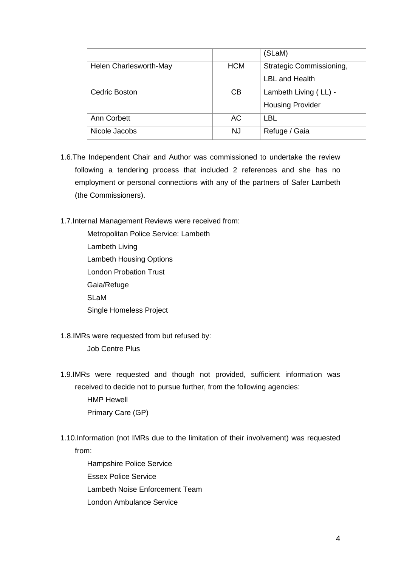|                        |            | (SLaM)                   |
|------------------------|------------|--------------------------|
| Helen Charlesworth-May | <b>HCM</b> | Strategic Commissioning, |
|                        |            | LBL and Health           |
| Cedric Boston          | CВ         | Lambeth Living (LL) -    |
|                        |            | <b>Housing Provider</b>  |
| Ann Corbett            | АC         | <b>LBL</b>               |
| Nicole Jacobs          | NJ         | Refuge / Gaia            |

- 1.6.The Independent Chair and Author was commissioned to undertake the review following a tendering process that included 2 references and she has no employment or personal connections with any of the partners of Safer Lambeth (the Commissioners).
- 1.7.Internal Management Reviews were received from:
	- Metropolitan Police Service: Lambeth Lambeth Living Lambeth Housing Options London Probation Trust Gaia/Refuge SLaM Single Homeless Project
- 1.8.IMRs were requested from but refused by:
	- Job Centre Plus
- 1.9.IMRs were requested and though not provided, sufficient information was received to decide not to pursue further, from the following agencies:

HMP Hewell Primary Care (GP)

- 1.10.Information (not IMRs due to the limitation of their involvement) was requested from:
	- Hampshire Police Service Essex Police Service Lambeth Noise Enforcement Team London Ambulance Service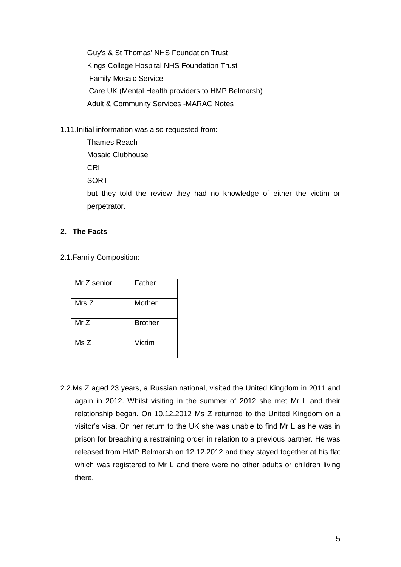Guy's & St Thomas' NHS Foundation Trust Kings College Hospital NHS Foundation Trust Family Mosaic Service Care UK (Mental Health providers to HMP Belmarsh) Adult & Community Services -MARAC Notes

1.11.Initial information was also requested from:

| but they told the review they had no knowledge of either the victim or |
|------------------------------------------------------------------------|
|                                                                        |
|                                                                        |

## **2. The Facts**

2.1.Family Composition:

| Mr Z senior | Father         |
|-------------|----------------|
| Mrs Z       | Mother         |
| MrZ         | <b>Brother</b> |
| MsZ         | Victim         |

2.2.Ms Z aged 23 years, a Russian national, visited the United Kingdom in 2011 and again in 2012. Whilst visiting in the summer of 2012 she met Mr L and their relationship began. On 10.12.2012 Ms Z returned to the United Kingdom on a visitor's visa. On her return to the UK she was unable to find Mr L as he was in prison for breaching a restraining order in relation to a previous partner. He was released from HMP Belmarsh on 12.12.2012 and they stayed together at his flat which was registered to Mr L and there were no other adults or children living there.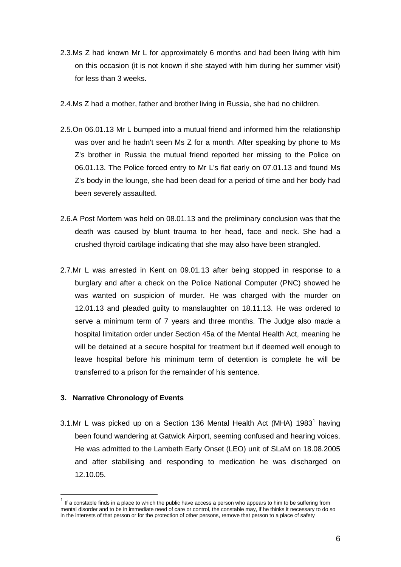- 2.3.Ms Z had known Mr L for approximately 6 months and had been living with him on this occasion (it is not known if she stayed with him during her summer visit) for less than 3 weeks.
- 2.4.Ms Z had a mother, father and brother living in Russia, she had no children.
- 2.5.On 06.01.13 Mr L bumped into a mutual friend and informed him the relationship was over and he hadn't seen Ms Z for a month. After speaking by phone to Ms Z's brother in Russia the mutual friend reported her missing to the Police on 06.01.13. The Police forced entry to Mr L's flat early on 07.01.13 and found Ms Z's body in the lounge, she had been dead for a period of time and her body had been severely assaulted.
- 2.6.A Post Mortem was held on 08.01.13 and the preliminary conclusion was that the death was caused by blunt trauma to her head, face and neck. She had a crushed thyroid cartilage indicating that she may also have been strangled.
- 2.7.Mr L was arrested in Kent on 09.01.13 after being stopped in response to a burglary and after a check on the Police National Computer (PNC) showed he was wanted on suspicion of murder. He was charged with the murder on 12.01.13 and pleaded guilty to manslaughter on 18.11.13. He was ordered to serve a minimum term of 7 years and three months. The Judge also made a hospital limitation order under Section 45a of the Mental Health Act, meaning he will be detained at a secure hospital for treatment but if deemed well enough to leave hospital before his minimum term of detention is complete he will be transferred to a prison for the remainder of his sentence.

#### **3. Narrative Chronology of Events**

 $\overline{a}$ 

3.1.Mr L was picked up on a Section 136 Mental Health Act (MHA) 1983<sup>1</sup> having been found wandering at Gatwick Airport, seeming confused and hearing voices. He was admitted to the Lambeth Early Onset (LEO) unit of SLaM on 18.08.2005 and after stabilising and responding to medication he was discharged on 12.10.05.

<sup>1</sup> If a constable finds in a place to which the public have access a person who appears to him to be suffering from mental disorder and to be in immediate need of care or control, the constable may, if he thinks it necessary to do so in the interests of that person or for the protection of other persons, remove that person to a place of safety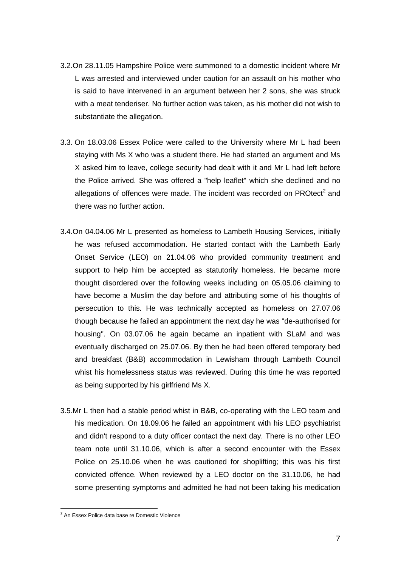- 3.2.On 28.11.05 Hampshire Police were summoned to a domestic incident where Mr L was arrested and interviewed under caution for an assault on his mother who is said to have intervened in an argument between her 2 sons, she was struck with a meat tenderiser. No further action was taken, as his mother did not wish to substantiate the allegation.
- 3.3. On 18.03.06 Essex Police were called to the University where Mr L had been staying with Ms X who was a student there. He had started an argument and Ms X asked him to leave, college security had dealt with it and Mr L had left before the Police arrived. She was offered a "help leaflet" which she declined and no allegations of offences were made. The incident was recorded on PROtect<sup>2</sup> and there was no further action.
- 3.4.On 04.04.06 Mr L presented as homeless to Lambeth Housing Services, initially he was refused accommodation. He started contact with the Lambeth Early Onset Service (LEO) on 21.04.06 who provided community treatment and support to help him be accepted as statutorily homeless. He became more thought disordered over the following weeks including on 05.05.06 claiming to have become a Muslim the day before and attributing some of his thoughts of persecution to this. He was technically accepted as homeless on 27.07.06 though because he failed an appointment the next day he was "de-authorised for housing". On 03.07.06 he again became an inpatient with SLaM and was eventually discharged on 25.07.06. By then he had been offered temporary bed and breakfast (B&B) accommodation in Lewisham through Lambeth Council whist his homelessness status was reviewed. During this time he was reported as being supported by his girlfriend Ms X.
- 3.5.Mr L then had a stable period whist in B&B, co-operating with the LEO team and his medication. On 18.09.06 he failed an appointment with his LEO psychiatrist and didn't respond to a duty officer contact the next day. There is no other LEO team note until 31.10.06, which is after a second encounter with the Essex Police on 25.10.06 when he was cautioned for shoplifting; this was his first convicted offence. When reviewed by a LEO doctor on the 31.10.06, he had some presenting symptoms and admitted he had not been taking his medication

 $\overline{a}$ 

<sup>&</sup>lt;sup>2</sup> An Essex Police data base re Domestic Violence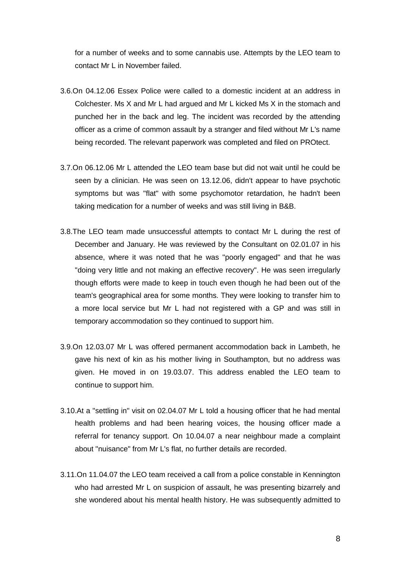for a number of weeks and to some cannabis use. Attempts by the LEO team to contact Mr L in November failed.

- 3.6.On 04.12.06 Essex Police were called to a domestic incident at an address in Colchester. Ms X and Mr L had argued and Mr L kicked Ms X in the stomach and punched her in the back and leg. The incident was recorded by the attending officer as a crime of common assault by a stranger and filed without Mr L's name being recorded. The relevant paperwork was completed and filed on PROtect.
- 3.7.On 06.12.06 Mr L attended the LEO team base but did not wait until he could be seen by a clinician. He was seen on 13.12.06, didn't appear to have psychotic symptoms but was "flat" with some psychomotor retardation, he hadn't been taking medication for a number of weeks and was still living in B&B.
- 3.8.The LEO team made unsuccessful attempts to contact Mr L during the rest of December and January. He was reviewed by the Consultant on 02.01.07 in his absence, where it was noted that he was "poorly engaged" and that he was "doing very little and not making an effective recovery". He was seen irregularly though efforts were made to keep in touch even though he had been out of the team's geographical area for some months. They were looking to transfer him to a more local service but Mr L had not registered with a GP and was still in temporary accommodation so they continued to support him.
- 3.9.On 12.03.07 Mr L was offered permanent accommodation back in Lambeth, he gave his next of kin as his mother living in Southampton, but no address was given. He moved in on 19.03.07. This address enabled the LEO team to continue to support him.
- 3.10.At a "settling in" visit on 02.04.07 Mr L told a housing officer that he had mental health problems and had been hearing voices, the housing officer made a referral for tenancy support. On 10.04.07 a near neighbour made a complaint about "nuisance" from Mr L's flat, no further details are recorded.
- 3.11.On 11.04.07 the LEO team received a call from a police constable in Kennington who had arrested Mr L on suspicion of assault, he was presenting bizarrely and she wondered about his mental health history. He was subsequently admitted to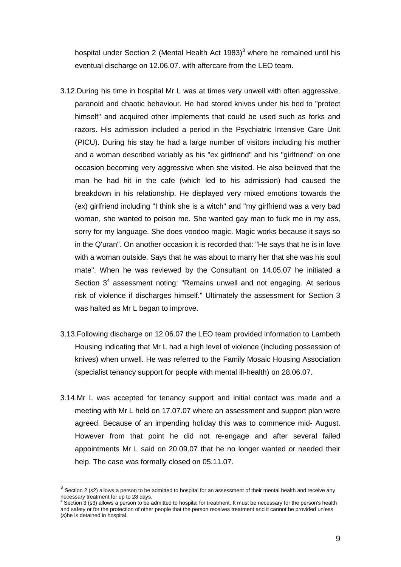hospital under Section 2 (Mental Health Act  $1983$ )<sup>3</sup> where he remained until his eventual discharge on 12.06.07. with aftercare from the LEO team.

- 3.12.During his time in hospital Mr L was at times very unwell with often aggressive, paranoid and chaotic behaviour. He had stored knives under his bed to "protect himself" and acquired other implements that could be used such as forks and razors. His admission included a period in the Psychiatric Intensive Care Unit (PICU). During his stay he had a large number of visitors including his mother and a woman described variably as his "ex girlfriend" and his "girlfriend" on one occasion becoming very aggressive when she visited. He also believed that the man he had hit in the cafe (which led to his admission) had caused the breakdown in his relationship. He displayed very mixed emotions towards the (ex) girlfriend including "I think she is a witch" and "my girlfriend was a very bad woman, she wanted to poison me. She wanted gay man to fuck me in my ass, sorry for my language. She does voodoo magic. Magic works because it says so in the Q'uran". On another occasion it is recorded that: "He says that he is in love with a woman outside. Says that he was about to marry her that she was his soul mate". When he was reviewed by the Consultant on 14.05.07 he initiated a Section  $3<sup>4</sup>$  assessment noting: "Remains unwell and not engaging. At serious risk of violence if discharges himself." Ultimately the assessment for Section 3 was halted as Mr L began to improve.
- 3.13.Following discharge on 12.06.07 the LEO team provided information to Lambeth Housing indicating that Mr L had a high level of violence (including possession of knives) when unwell. He was referred to the Family Mosaic Housing Association (specialist tenancy support for people with mental ill-health) on 28.06.07.
- 3.14.Mr L was accepted for tenancy support and initial contact was made and a meeting with Mr L held on 17.07.07 where an assessment and support plan were agreed. Because of an impending holiday this was to commence mid- August. However from that point he did not re-engage and after several failed appointments Mr L said on 20.09.07 that he no longer wanted or needed their help. The case was formally closed on 05.11.07.

 $\overline{a}$ 

 $3$  Section 2 (s2) allows a person to be admitted to hospital for an assessment of their mental health and receive any necessary treatment for up to 28 days.

Section 3 (s3) allows a person to be admitted to hospital for treatment. It must be necessary for the person's health and safety or for the protection of other people that the person receives treatment and it cannot be provided unless (s)he is detained in hospital.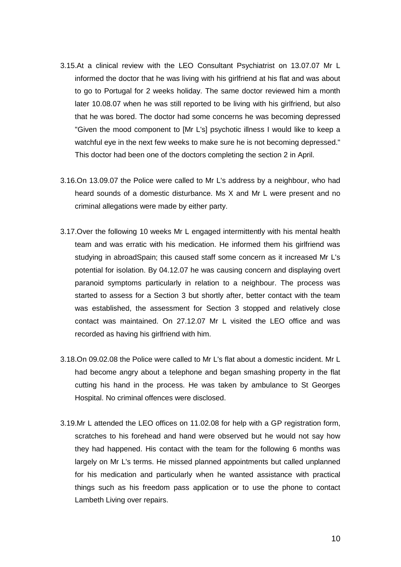- 3.15.At a clinical review with the LEO Consultant Psychiatrist on 13.07.07 Mr L informed the doctor that he was living with his girlfriend at his flat and was about to go to Portugal for 2 weeks holiday. The same doctor reviewed him a month later 10.08.07 when he was still reported to be living with his girlfriend, but also that he was bored. The doctor had some concerns he was becoming depressed "Given the mood component to [Mr L's] psychotic illness I would like to keep a watchful eye in the next few weeks to make sure he is not becoming depressed." This doctor had been one of the doctors completing the section 2 in April.
- 3.16.On 13.09.07 the Police were called to Mr L's address by a neighbour, who had heard sounds of a domestic disturbance. Ms X and Mr L were present and no criminal allegations were made by either party.
- 3.17.Over the following 10 weeks Mr L engaged intermittently with his mental health team and was erratic with his medication. He informed them his girlfriend was studying in abroadSpain; this caused staff some concern as it increased Mr L's potential for isolation. By 04.12.07 he was causing concern and displaying overt paranoid symptoms particularly in relation to a neighbour. The process was started to assess for a Section 3 but shortly after, better contact with the team was established, the assessment for Section 3 stopped and relatively close contact was maintained. On 27.12.07 Mr L visited the LEO office and was recorded as having his girlfriend with him.
- 3.18.On 09.02.08 the Police were called to Mr L's flat about a domestic incident. Mr L had become angry about a telephone and began smashing property in the flat cutting his hand in the process. He was taken by ambulance to St Georges Hospital. No criminal offences were disclosed.
- 3.19.Mr L attended the LEO offices on 11.02.08 for help with a GP registration form, scratches to his forehead and hand were observed but he would not say how they had happened. His contact with the team for the following 6 months was largely on Mr L's terms. He missed planned appointments but called unplanned for his medication and particularly when he wanted assistance with practical things such as his freedom pass application or to use the phone to contact Lambeth Living over repairs.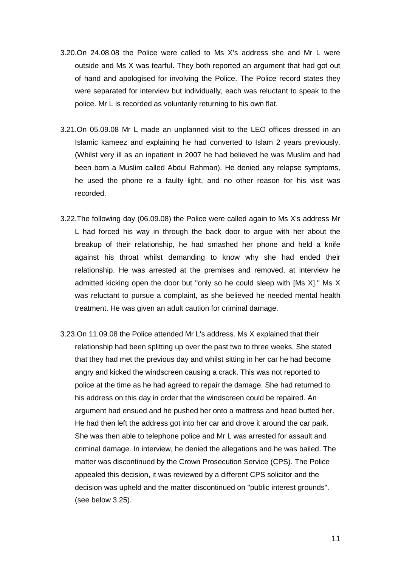- 3.20.On 24.08.08 the Police were called to Ms X's address she and Mr L were outside and Ms X was tearful. They both reported an argument that had got out of hand and apologised for involving the Police. The Police record states they were separated for interview but individually, each was reluctant to speak to the police. Mr L is recorded as voluntarily returning to his own flat.
- 3.21.On 05.09.08 Mr L made an unplanned visit to the LEO offices dressed in an Islamic kameez and explaining he had converted to Islam 2 years previously. (Whilst very ill as an inpatient in 2007 he had believed he was Muslim and had been born a Muslim called Abdul Rahman). He denied any relapse symptoms, he used the phone re a faulty light, and no other reason for his visit was recorded.
- 3.22.The following day (06.09.08) the Police were called again to Ms X's address Mr L had forced his way in through the back door to argue with her about the breakup of their relationship, he had smashed her phone and held a knife against his throat whilst demanding to know why she had ended their relationship. He was arrested at the premises and removed, at interview he admitted kicking open the door but "only so he could sleep with [Ms X]." Ms X was reluctant to pursue a complaint, as she believed he needed mental health treatment. He was given an adult caution for criminal damage.
- 3.23.On 11.09.08 the Police attended Mr L's address. Ms X explained that their relationship had been splitting up over the past two to three weeks. She stated that they had met the previous day and whilst sitting in her car he had become angry and kicked the windscreen causing a crack. This was not reported to police at the time as he had agreed to repair the damage. She had returned to his address on this day in order that the windscreen could be repaired. An argument had ensued and he pushed her onto a mattress and head butted her. He had then left the address got into her car and drove it around the car park. She was then able to telephone police and Mr L was arrested for assault and criminal damage. In interview, he denied the allegations and he was bailed. The matter was discontinued by the Crown Prosecution Service (CPS). The Police appealed this decision, it was reviewed by a different CPS solicitor and the decision was upheld and the matter discontinued on "public interest grounds". (see below 3.25).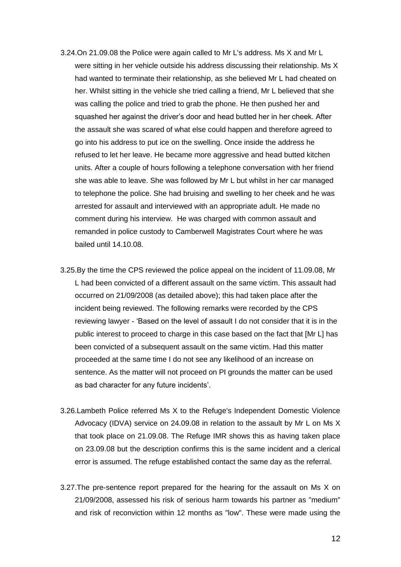- 3.24.On 21.09.08 the Police were again called to Mr L's address. Ms X and Mr L were sitting in her vehicle outside his address discussing their relationship. Ms X had wanted to terminate their relationship, as she believed Mr L had cheated on her. Whilst sitting in the vehicle she tried calling a friend, Mr L believed that she was calling the police and tried to grab the phone. He then pushed her and squashed her against the driver's door and head butted her in her cheek. After the assault she was scared of what else could happen and therefore agreed to go into his address to put ice on the swelling. Once inside the address he refused to let her leave. He became more aggressive and head butted kitchen units. After a couple of hours following a telephone conversation with her friend she was able to leave. She was followed by Mr L but whilst in her car managed to telephone the police. She had bruising and swelling to her cheek and he was arrested for assault and interviewed with an appropriate adult. He made no comment during his interview. He was charged with common assault and remanded in police custody to Camberwell Magistrates Court where he was bailed until 14.10.08.
- 3.25.By the time the CPS reviewed the police appeal on the incident of 11.09.08, Mr L had been convicted of a different assault on the same victim. This assault had occurred on 21/09/2008 (as detailed above); this had taken place after the incident being reviewed. The following remarks were recorded by the CPS reviewing lawyer - 'Based on the level of assault I do not consider that it is in the public interest to proceed to charge in this case based on the fact that [Mr L] has been convicted of a subsequent assault on the same victim. Had this matter proceeded at the same time I do not see any likelihood of an increase on sentence. As the matter will not proceed on PI grounds the matter can be used as bad character for any future incidents'.
- 3.26.Lambeth Police referred Ms X to the Refuge's Independent Domestic Violence Advocacy (IDVA) service on 24.09.08 in relation to the assault by Mr L on Ms X that took place on 21.09.08. The Refuge IMR shows this as having taken place on 23.09.08 but the description confirms this is the same incident and a clerical error is assumed. The refuge established contact the same day as the referral.
- 3.27.The pre-sentence report prepared for the hearing for the assault on Ms X on 21/09/2008, assessed his risk of serious harm towards his partner as "medium" and risk of reconviction within 12 months as "low". These were made using the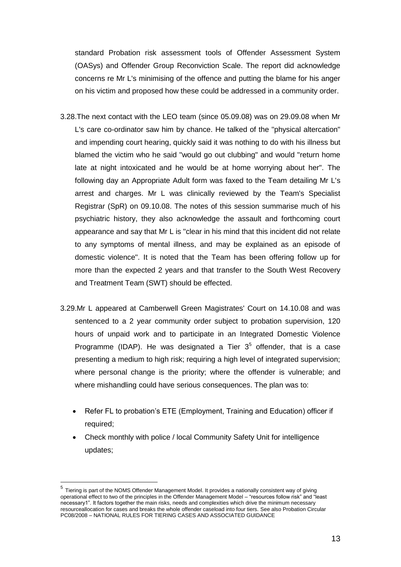standard Probation risk assessment tools of Offender Assessment System (OASys) and Offender Group Reconviction Scale. The report did acknowledge concerns re Mr L's minimising of the offence and putting the blame for his anger on his victim and proposed how these could be addressed in a community order.

- 3.28.The next contact with the LEO team (since 05.09.08) was on 29.09.08 when Mr L's care co-ordinator saw him by chance. He talked of the "physical altercation" and impending court hearing, quickly said it was nothing to do with his illness but blamed the victim who he said "would go out clubbing" and would "return home late at night intoxicated and he would be at home worrying about her". The following day an Appropriate Adult form was faxed to the Team detailing Mr L's arrest and charges. Mr L was clinically reviewed by the Team's Specialist Registrar (SpR) on 09.10.08. The notes of this session summarise much of his psychiatric history, they also acknowledge the assault and forthcoming court appearance and say that Mr L is "clear in his mind that this incident did not relate to any symptoms of mental illness, and may be explained as an episode of domestic violence". It is noted that the Team has been offering follow up for more than the expected 2 years and that transfer to the South West Recovery and Treatment Team (SWT) should be effected.
- 3.29.Mr L appeared at Camberwell Green Magistrates' Court on 14.10.08 and was sentenced to a 2 year community order subject to probation supervision, 120 hours of unpaid work and to participate in an Integrated Domestic Violence Programme (IDAP). He was designated a Tier  $3<sup>5</sup>$  offender, that is a case presenting a medium to high risk; requiring a high level of integrated supervision; where personal change is the priority; where the offender is vulnerable; and where mishandling could have serious consequences. The plan was to:
	- Refer FL to probation's ETE (Employment, Training and Education) officer if required;
	- Check monthly with police / local Community Safety Unit for intelligence updates;

 $\overline{a}$ 

<sup>&</sup>lt;sup>5</sup> Tiering is part of the NOMS Offender Management Model. It provides a nationally consistent way of giving operational effect to two of the principles in the Offender Management Model – "resources follow risk" and "least necessary1". It factors together the main risks, needs and complexities which drive the minimum necessary resourceallocation for cases and breaks the whole offender caseload into four tiers. See also Probation Circular PC08/2008 – NATIONAL RULES FOR TIERING CASES AND ASSOCIATED GUIDANCE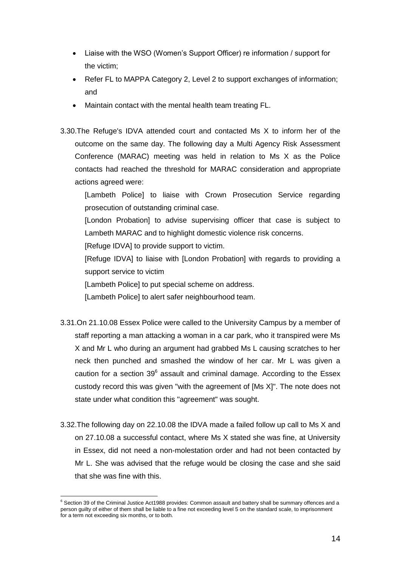- Liaise with the WSO (Women's Support Officer) re information / support for the victim;
- Refer FL to MAPPA Category 2, Level 2 to support exchanges of information; and
- Maintain contact with the mental health team treating FL.
- 3.30.The Refuge's IDVA attended court and contacted Ms X to inform her of the outcome on the same day. The following day a Multi Agency Risk Assessment Conference (MARAC) meeting was held in relation to Ms X as the Police contacts had reached the threshold for MARAC consideration and appropriate actions agreed were:

[Lambeth Police] to liaise with Crown Prosecution Service regarding prosecution of outstanding criminal case.

[London Probation] to advise supervising officer that case is subject to Lambeth MARAC and to highlight domestic violence risk concerns.

[Refuge IDVA] to provide support to victim.

[Refuge IDVA] to liaise with [London Probation] with regards to providing a support service to victim

[Lambeth Police] to put special scheme on address.

[Lambeth Police] to alert safer neighbourhood team.

- 3.31.On 21.10.08 Essex Police were called to the University Campus by a member of staff reporting a man attacking a woman in a car park, who it transpired were Ms X and Mr L who during an argument had grabbed Ms L causing scratches to her neck then punched and smashed the window of her car. Mr L was given a caution for a section  $39^6$  assault and criminal damage. According to the Essex custody record this was given "with the agreement of [Ms X]". The note does not state under what condition this "agreement" was sought.
- 3.32.The following day on 22.10.08 the IDVA made a failed follow up call to Ms X and on 27.10.08 a successful contact, where Ms X stated she was fine, at University in Essex, did not need a non-molestation order and had not been contacted by Mr L. She was advised that the refuge would be closing the case and she said that she was fine with this.

 $\overline{a}$ <sup>6</sup> Section 39 of the Criminal Justice Act1988 provides: Common assault and battery shall be summary offences and a person guilty of either of them shall be liable to a fine not exceeding level 5 on the standard scale, to imprisonment for a term not exceeding six months, or to both.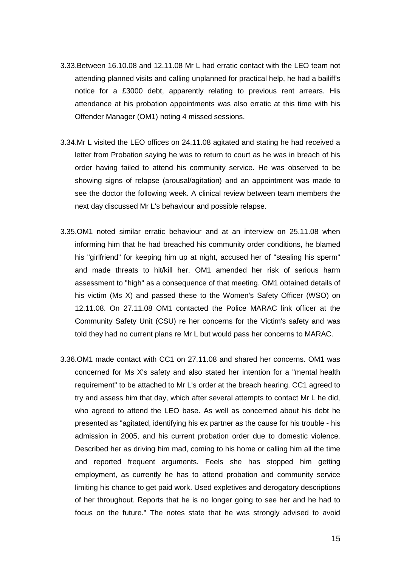- 3.33.Between 16.10.08 and 12.11.08 Mr L had erratic contact with the LEO team not attending planned visits and calling unplanned for practical help, he had a bailiff's notice for a £3000 debt, apparently relating to previous rent arrears. His attendance at his probation appointments was also erratic at this time with his Offender Manager (OM1) noting 4 missed sessions.
- 3.34.Mr L visited the LEO offices on 24.11.08 agitated and stating he had received a letter from Probation saying he was to return to court as he was in breach of his order having failed to attend his community service. He was observed to be showing signs of relapse (arousal/agitation) and an appointment was made to see the doctor the following week. A clinical review between team members the next day discussed Mr L's behaviour and possible relapse.
- 3.35.OM1 noted similar erratic behaviour and at an interview on 25.11.08 when informing him that he had breached his community order conditions, he blamed his "girlfriend" for keeping him up at night, accused her of "stealing his sperm" and made threats to hit/kill her. OM1 amended her risk of serious harm assessment to "high" as a consequence of that meeting. OM1 obtained details of his victim (Ms X) and passed these to the Women's Safety Officer (WSO) on 12.11.08. On 27.11.08 OM1 contacted the Police MARAC link officer at the Community Safety Unit (CSU) re her concerns for the Victim's safety and was told they had no current plans re Mr L but would pass her concerns to MARAC.
- 3.36.OM1 made contact with CC1 on 27.11.08 and shared her concerns. OM1 was concerned for Ms X's safety and also stated her intention for a "mental health requirement" to be attached to Mr L's order at the breach hearing. CC1 agreed to try and assess him that day, which after several attempts to contact Mr L he did, who agreed to attend the LEO base. As well as concerned about his debt he presented as "agitated, identifying his ex partner as the cause for his trouble - his admission in 2005, and his current probation order due to domestic violence. Described her as driving him mad, coming to his home or calling him all the time and reported frequent arguments. Feels she has stopped him getting employment, as currently he has to attend probation and community service limiting his chance to get paid work. Used expletives and derogatory descriptions of her throughout. Reports that he is no longer going to see her and he had to focus on the future." The notes state that he was strongly advised to avoid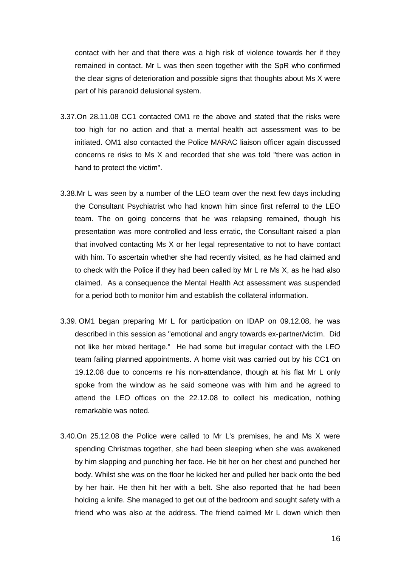contact with her and that there was a high risk of violence towards her if they remained in contact. Mr L was then seen together with the SpR who confirmed the clear signs of deterioration and possible signs that thoughts about Ms X were part of his paranoid delusional system.

- 3.37.On 28.11.08 CC1 contacted OM1 re the above and stated that the risks were too high for no action and that a mental health act assessment was to be initiated. OM1 also contacted the Police MARAC liaison officer again discussed concerns re risks to Ms X and recorded that she was told "there was action in hand to protect the victim".
- 3.38.Mr L was seen by a number of the LEO team over the next few days including the Consultant Psychiatrist who had known him since first referral to the LEO team. The on going concerns that he was relapsing remained, though his presentation was more controlled and less erratic, the Consultant raised a plan that involved contacting Ms X or her legal representative to not to have contact with him. To ascertain whether she had recently visited, as he had claimed and to check with the Police if they had been called by Mr L re Ms X, as he had also claimed. As a consequence the Mental Health Act assessment was suspended for a period both to monitor him and establish the collateral information.
- 3.39. OM1 began preparing Mr L for participation on IDAP on 09.12.08, he was described in this session as "emotional and angry towards ex-partner/victim. Did not like her mixed heritage." He had some but irregular contact with the LEO team failing planned appointments. A home visit was carried out by his CC1 on 19.12.08 due to concerns re his non-attendance, though at his flat Mr L only spoke from the window as he said someone was with him and he agreed to attend the LEO offices on the 22.12.08 to collect his medication, nothing remarkable was noted.
- 3.40.On 25.12.08 the Police were called to Mr L's premises, he and Ms X were spending Christmas together, she had been sleeping when she was awakened by him slapping and punching her face. He bit her on her chest and punched her body. Whilst she was on the floor he kicked her and pulled her back onto the bed by her hair. He then hit her with a belt. She also reported that he had been holding a knife. She managed to get out of the bedroom and sought safety with a friend who was also at the address. The friend calmed Mr L down which then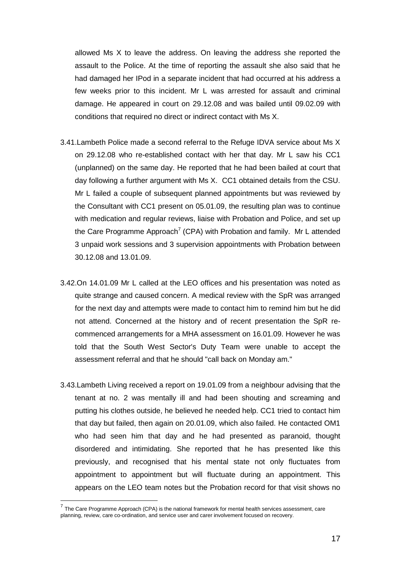allowed Ms X to leave the address. On leaving the address she reported the assault to the Police. At the time of reporting the assault she also said that he had damaged her IPod in a separate incident that had occurred at his address a few weeks prior to this incident. Mr L was arrested for assault and criminal damage. He appeared in court on 29.12.08 and was bailed until 09.02.09 with conditions that required no direct or indirect contact with Ms X.

- 3.41.Lambeth Police made a second referral to the Refuge IDVA service about Ms X on 29.12.08 who re-established contact with her that day. Mr L saw his CC1 (unplanned) on the same day. He reported that he had been bailed at court that day following a further argument with Ms X. CC1 obtained details from the CSU. Mr L failed a couple of subsequent planned appointments but was reviewed by the Consultant with CC1 present on 05.01.09, the resulting plan was to continue with medication and regular reviews, liaise with Probation and Police, and set up the Care Programme Approach<sup>7</sup> (CPA) with Probation and family. Mr L attended 3 unpaid work sessions and 3 supervision appointments with Probation between 30.12.08 and 13.01.09.
- 3.42.On 14.01.09 Mr L called at the LEO offices and his presentation was noted as quite strange and caused concern. A medical review with the SpR was arranged for the next day and attempts were made to contact him to remind him but he did not attend. Concerned at the history and of recent presentation the SpR recommenced arrangements for a MHA assessment on 16.01.09. However he was told that the South West Sector's Duty Team were unable to accept the assessment referral and that he should "call back on Monday am."
- 3.43.Lambeth Living received a report on 19.01.09 from a neighbour advising that the tenant at no. 2 was mentally ill and had been shouting and screaming and putting his clothes outside, he believed he needed help. CC1 tried to contact him that day but failed, then again on 20.01.09, which also failed. He contacted OM1 who had seen him that day and he had presented as paranoid, thought disordered and intimidating. She reported that he has presented like this previously, and recognised that his mental state not only fluctuates from appointment to appointment but will fluctuate during an appointment. This appears on the LEO team notes but the Probation record for that visit shows no

 $\overline{a}$ 

 $<sup>7</sup>$  The Care Programme Approach (CPA) is the national framework for mental health services assessment, care</sup> planning, review, care co-ordination, and service user and carer involvement focused on recovery.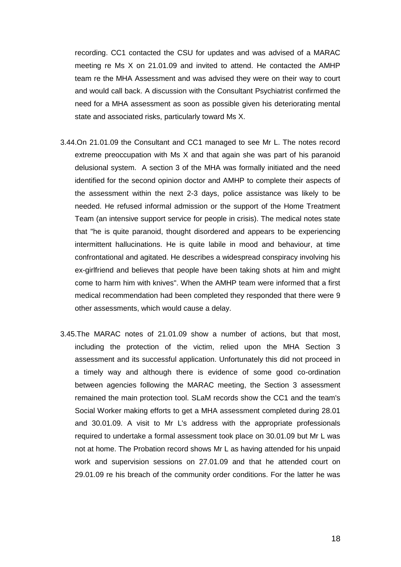recording. CC1 contacted the CSU for updates and was advised of a MARAC meeting re Ms X on 21.01.09 and invited to attend. He contacted the AMHP team re the MHA Assessment and was advised they were on their way to court and would call back. A discussion with the Consultant Psychiatrist confirmed the need for a MHA assessment as soon as possible given his deteriorating mental state and associated risks, particularly toward Ms X.

- 3.44.On 21.01.09 the Consultant and CC1 managed to see Mr L. The notes record extreme preoccupation with Ms X and that again she was part of his paranoid delusional system. A section 3 of the MHA was formally initiated and the need identified for the second opinion doctor and AMHP to complete their aspects of the assessment within the next 2-3 days, police assistance was likely to be needed. He refused informal admission or the support of the Home Treatment Team (an intensive support service for people in crisis). The medical notes state that "he is quite paranoid, thought disordered and appears to be experiencing intermittent hallucinations. He is quite labile in mood and behaviour, at time confrontational and agitated. He describes a widespread conspiracy involving his ex-girlfriend and believes that people have been taking shots at him and might come to harm him with knives". When the AMHP team were informed that a first medical recommendation had been completed they responded that there were 9 other assessments, which would cause a delay.
- 3.45.The MARAC notes of 21.01.09 show a number of actions, but that most, including the protection of the victim, relied upon the MHA Section 3 assessment and its successful application. Unfortunately this did not proceed in a timely way and although there is evidence of some good co-ordination between agencies following the MARAC meeting, the Section 3 assessment remained the main protection tool. SLaM records show the CC1 and the team's Social Worker making efforts to get a MHA assessment completed during 28.01 and 30.01.09. A visit to Mr L's address with the appropriate professionals required to undertake a formal assessment took place on 30.01.09 but Mr L was not at home. The Probation record shows Mr L as having attended for his unpaid work and supervision sessions on 27.01.09 and that he attended court on 29.01.09 re his breach of the community order conditions. For the latter he was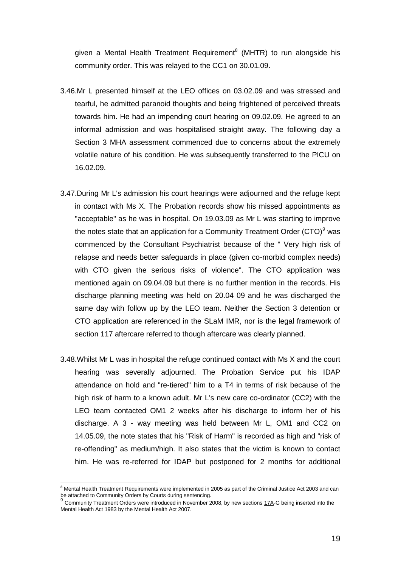given a Mental Health Treatment Requirement<sup>8</sup> (MHTR) to run alongside his community order. This was relayed to the CC1 on 30.01.09.

- 3.46.Mr L presented himself at the LEO offices on 03.02.09 and was stressed and tearful, he admitted paranoid thoughts and being frightened of perceived threats towards him. He had an impending court hearing on 09.02.09. He agreed to an informal admission and was hospitalised straight away. The following day a Section 3 MHA assessment commenced due to concerns about the extremely volatile nature of his condition. He was subsequently transferred to the PICU on 16.02.09.
- 3.47.During Mr L's admission his court hearings were adjourned and the refuge kept in contact with Ms X. The Probation records show his missed appointments as "acceptable" as he was in hospital. On 19.03.09 as Mr L was starting to improve the notes state that an application for a Community Treatment Order (CTO) $9$  was commenced by the Consultant Psychiatrist because of the " Very high risk of relapse and needs better safeguards in place (given co-morbid complex needs) with CTO given the serious risks of violence". The CTO application was mentioned again on 09.04.09 but there is no further mention in the records. His discharge planning meeting was held on 20.04 09 and he was discharged the same day with follow up by the LEO team. Neither the Section 3 detention or CTO application are referenced in the SLaM IMR, nor is the legal framework of section 117 aftercare referred to though aftercare was clearly planned.
- 3.48.Whilst Mr L was in hospital the refuge continued contact with Ms X and the court hearing was severally adjourned. The Probation Service put his IDAP attendance on hold and "re-tiered" him to a T4 in terms of risk because of the high risk of harm to a known adult. Mr L's new care co-ordinator (CC2) with the LEO team contacted OM1 2 weeks after his discharge to inform her of his discharge. A 3 - way meeting was held between Mr L, OM1 and CC2 on 14.05.09, the note states that his "Risk of Harm" is recorded as high and "risk of re-offending" as medium/high. It also states that the victim is known to contact him. He was re-referred for IDAP but postponed for 2 months for additional

 $\overline{a}$ 

 $8$  Mental Health Treatment Requirements were implemented in 2005 as part of the Criminal Justice Act 2003 and can be attached to Community Orders by Courts during sentencing.<br><sup>9</sup> Community Tractagest Orders was interdependent Navardage

Community Treatment Orders were introduced in November 2008, by new sections [17A-](http://www.mentalhealthlaw.co.uk/S17A)G being inserted into the Mental Health Act 1983 by the Mental Health Act 2007.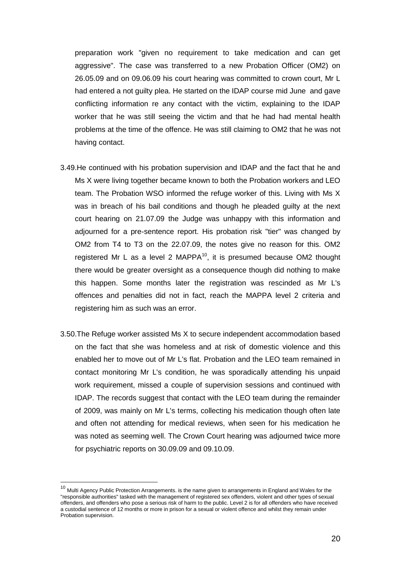preparation work "given no requirement to take medication and can get aggressive". The case was transferred to a new Probation Officer (OM2) on 26.05.09 and on 09.06.09 his court hearing was committed to crown court, Mr L had entered a not guilty plea. He started on the IDAP course mid June and gave conflicting information re any contact with the victim, explaining to the IDAP worker that he was still seeing the victim and that he had had mental health problems at the time of the offence. He was still claiming to OM2 that he was not having contact.

- 3.49.He continued with his probation supervision and IDAP and the fact that he and Ms X were living together became known to both the Probation workers and LEO team. The Probation WSO informed the refuge worker of this. Living with Ms X was in breach of his bail conditions and though he pleaded guilty at the next court hearing on 21.07.09 the Judge was unhappy with this information and adjourned for a pre-sentence report. His probation risk "tier" was changed by OM2 from T4 to T3 on the 22.07.09, the notes give no reason for this. OM2 registered Mr L as a level 2 MAPPA $10$ , it is presumed because OM2 thought there would be greater oversight as a consequence though did nothing to make this happen. Some months later the registration was rescinded as Mr L's offences and penalties did not in fact, reach the MAPPA level 2 criteria and registering him as such was an error.
- 3.50.The Refuge worker assisted Ms X to secure independent accommodation based on the fact that she was homeless and at risk of domestic violence and this enabled her to move out of Mr L's flat. Probation and the LEO team remained in contact monitoring Mr L's condition, he was sporadically attending his unpaid work requirement, missed a couple of supervision sessions and continued with IDAP. The records suggest that contact with the LEO team during the remainder of 2009, was mainly on Mr L's terms, collecting his medication though often late and often not attending for medical reviews, when seen for his medication he was noted as seeming well. The Crown Court hearing was adjourned twice more for psychiatric reports on 30.09.09 and 09.10.09.

 $\overline{a}$ 

<sup>&</sup>lt;sup>10</sup> Multi Agency Public Protection Arrangements. is the name given to arrangements in England and Wales for the "responsible authorities" tasked with the management of registered sex offenders, violent and other types of sexual offenders, and offenders who pose a serious risk of harm to the public. Level 2 is for all offenders who have received [a custodial sentence](http://en.wikipedia.org/wiki/Custodial_sentence) of 12 months or more in prison for a sexual or violent offence and whilst they remain under Probation supervision.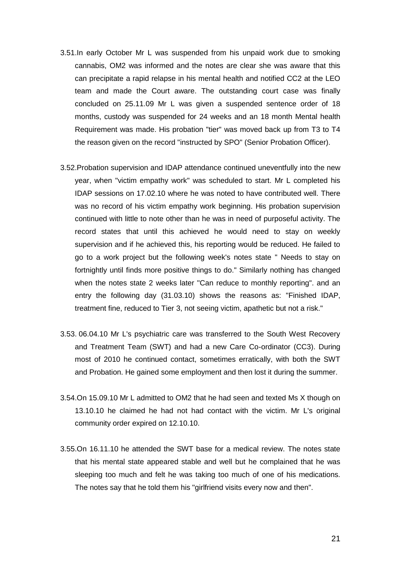- 3.51.In early October Mr L was suspended from his unpaid work due to smoking cannabis, OM2 was informed and the notes are clear she was aware that this can precipitate a rapid relapse in his mental health and notified CC2 at the LEO team and made the Court aware. The outstanding court case was finally concluded on 25.11.09 Mr L was given a suspended sentence order of 18 months, custody was suspended for 24 weeks and an 18 month Mental health Requirement was made. His probation "tier" was moved back up from T3 to T4 the reason given on the record "instructed by SPO" (Senior Probation Officer).
- 3.52.Probation supervision and IDAP attendance continued uneventfully into the new year, when "victim empathy work" was scheduled to start. Mr L completed his IDAP sessions on 17.02.10 where he was noted to have contributed well. There was no record of his victim empathy work beginning. His probation supervision continued with little to note other than he was in need of purposeful activity. The record states that until this achieved he would need to stay on weekly supervision and if he achieved this, his reporting would be reduced. He failed to go to a work project but the following week's notes state " Needs to stay on fortnightly until finds more positive things to do." Similarly nothing has changed when the notes state 2 weeks later "Can reduce to monthly reporting". and an entry the following day (31.03.10) shows the reasons as: "Finished IDAP, treatment fine, reduced to Tier 3, not seeing victim, apathetic but not a risk."
- 3.53. 06.04.10 Mr L's psychiatric care was transferred to the South West Recovery and Treatment Team (SWT) and had a new Care Co-ordinator (CC3). During most of 2010 he continued contact, sometimes erratically, with both the SWT and Probation. He gained some employment and then lost it during the summer.
- 3.54.On 15.09.10 Mr L admitted to OM2 that he had seen and texted Ms X though on 13.10.10 he claimed he had not had contact with the victim. Mr L's original community order expired on 12.10.10.
- 3.55.On 16.11.10 he attended the SWT base for a medical review. The notes state that his mental state appeared stable and well but he complained that he was sleeping too much and felt he was taking too much of one of his medications. The notes say that he told them his "girlfriend visits every now and then".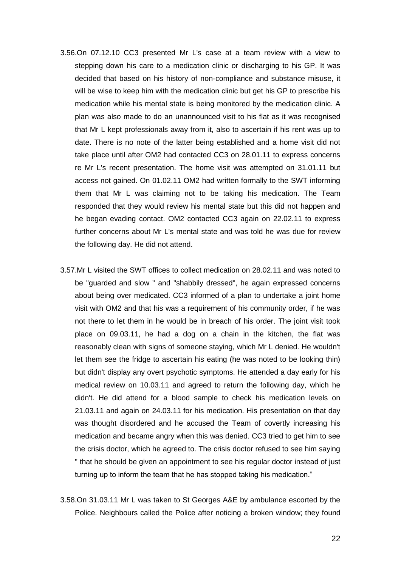- 3.56.On 07.12.10 CC3 presented Mr L's case at a team review with a view to stepping down his care to a medication clinic or discharging to his GP. It was decided that based on his history of non-compliance and substance misuse, it will be wise to keep him with the medication clinic but get his GP to prescribe his medication while his mental state is being monitored by the medication clinic. A plan was also made to do an unannounced visit to his flat as it was recognised that Mr L kept professionals away from it, also to ascertain if his rent was up to date. There is no note of the latter being established and a home visit did not take place until after OM2 had contacted CC3 on 28.01.11 to express concerns re Mr L's recent presentation. The home visit was attempted on 31.01.11 but access not gained. On 01.02.11 OM2 had written formally to the SWT informing them that Mr L was claiming not to be taking his medication. The Team responded that they would review his mental state but this did not happen and he began evading contact. OM2 contacted CC3 again on 22.02.11 to express further concerns about Mr L's mental state and was told he was due for review the following day. He did not attend.
- 3.57.Mr L visited the SWT offices to collect medication on 28.02.11 and was noted to be "guarded and slow " and "shabbily dressed", he again expressed concerns about being over medicated. CC3 informed of a plan to undertake a joint home visit with OM2 and that his was a requirement of his community order, if he was not there to let them in he would be in breach of his order. The joint visit took place on 09.03.11, he had a dog on a chain in the kitchen, the flat was reasonably clean with signs of someone staying, which Mr L denied. He wouldn't let them see the fridge to ascertain his eating (he was noted to be looking thin) but didn't display any overt psychotic symptoms. He attended a day early for his medical review on 10.03.11 and agreed to return the following day, which he didn't. He did attend for a blood sample to check his medication levels on 21.03.11 and again on 24.03.11 for his medication. His presentation on that day was thought disordered and he accused the Team of covertly increasing his medication and became angry when this was denied. CC3 tried to get him to see the crisis doctor, which he agreed to. The crisis doctor refused to see him saying " that he should be given an appointment to see his regular doctor instead of just turning up to inform the team that he has stopped taking his medication."
- 3.58.On 31.03.11 Mr L was taken to St Georges A&E by ambulance escorted by the Police. Neighbours called the Police after noticing a broken window; they found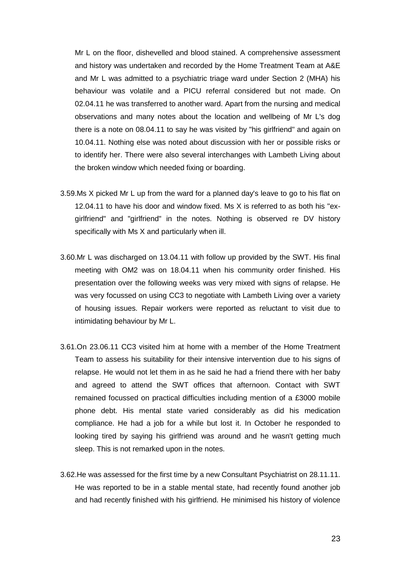Mr L on the floor, dishevelled and blood stained. A comprehensive assessment and history was undertaken and recorded by the Home Treatment Team at A&E and Mr L was admitted to a psychiatric triage ward under Section 2 (MHA) his behaviour was volatile and a PICU referral considered but not made. On 02.04.11 he was transferred to another ward. Apart from the nursing and medical observations and many notes about the location and wellbeing of Mr L's dog there is a note on 08.04.11 to say he was visited by "his girlfriend" and again on 10.04.11. Nothing else was noted about discussion with her or possible risks or to identify her. There were also several interchanges with Lambeth Living about the broken window which needed fixing or boarding.

- 3.59.Ms X picked Mr L up from the ward for a planned day's leave to go to his flat on 12.04.11 to have his door and window fixed. Ms X is referred to as both his "exgirlfriend" and "girlfriend" in the notes. Nothing is observed re DV history specifically with Ms X and particularly when ill.
- 3.60.Mr L was discharged on 13.04.11 with follow up provided by the SWT. His final meeting with OM2 was on 18.04.11 when his community order finished. His presentation over the following weeks was very mixed with signs of relapse. He was very focussed on using CC3 to negotiate with Lambeth Living over a variety of housing issues. Repair workers were reported as reluctant to visit due to intimidating behaviour by Mr L.
- 3.61.On 23.06.11 CC3 visited him at home with a member of the Home Treatment Team to assess his suitability for their intensive intervention due to his signs of relapse. He would not let them in as he said he had a friend there with her baby and agreed to attend the SWT offices that afternoon. Contact with SWT remained focussed on practical difficulties including mention of a £3000 mobile phone debt. His mental state varied considerably as did his medication compliance. He had a job for a while but lost it. In October he responded to looking tired by saying his girlfriend was around and he wasn't getting much sleep. This is not remarked upon in the notes.
- 3.62.He was assessed for the first time by a new Consultant Psychiatrist on 28.11.11. He was reported to be in a stable mental state, had recently found another job and had recently finished with his girlfriend. He minimised his history of violence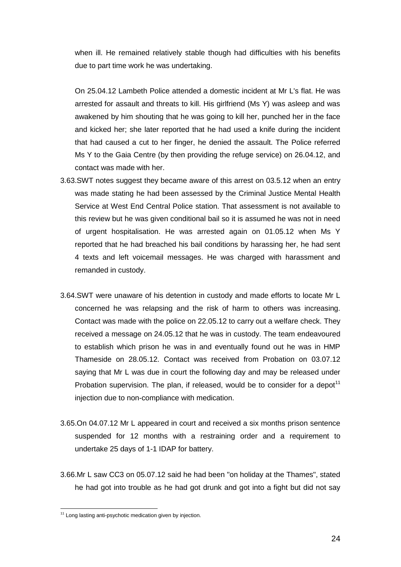when ill. He remained relatively stable though had difficulties with his benefits due to part time work he was undertaking.

On 25.04.12 Lambeth Police attended a domestic incident at Mr L's flat. He was arrested for assault and threats to kill. His girlfriend (Ms Y) was asleep and was awakened by him shouting that he was going to kill her, punched her in the face and kicked her; she later reported that he had used a knife during the incident that had caused a cut to her finger, he denied the assault. The Police referred Ms Y to the Gaia Centre (by then providing the refuge service) on 26.04.12, and contact was made with her.

- 3.63.SWT notes suggest they became aware of this arrest on 03.5.12 when an entry was made stating he had been assessed by the Criminal Justice Mental Health Service at West End Central Police station. That assessment is not available to this review but he was given conditional bail so it is assumed he was not in need of urgent hospitalisation. He was arrested again on 01.05.12 when Ms Y reported that he had breached his bail conditions by harassing her, he had sent 4 texts and left voicemail messages. He was charged with harassment and remanded in custody.
- 3.64.SWT were unaware of his detention in custody and made efforts to locate Mr L concerned he was relapsing and the risk of harm to others was increasing. Contact was made with the police on 22.05.12 to carry out a welfare check. They received a message on 24.05.12 that he was in custody. The team endeavoured to establish which prison he was in and eventually found out he was in HMP Thameside on 28.05.12. Contact was received from Probation on 03.07.12 saying that Mr L was due in court the following day and may be released under Probation supervision. The plan, if released, would be to consider for a depot<sup>11</sup> injection due to non-compliance with medication.
- 3.65.On 04.07.12 Mr L appeared in court and received a six months prison sentence suspended for 12 months with a restraining order and a requirement to undertake 25 days of 1-1 IDAP for battery.
- 3.66.Mr L saw CC3 on 05.07.12 said he had been "on holiday at the Thames", stated he had got into trouble as he had got drunk and got into a fight but did not say

 $\overline{a}$ 

<sup>&</sup>lt;sup>11</sup> Long lasting anti-psychotic medication given by injection.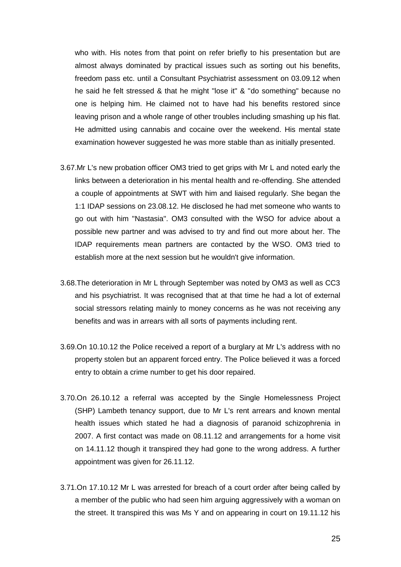who with. His notes from that point on refer briefly to his presentation but are almost always dominated by practical issues such as sorting out his benefits, freedom pass etc. until a Consultant Psychiatrist assessment on 03.09.12 when he said he felt stressed & that he might "lose it" & "do something" because no one is helping him. He claimed not to have had his benefits restored since leaving prison and a whole range of other troubles including smashing up his flat. He admitted using cannabis and cocaine over the weekend. His mental state examination however suggested he was more stable than as initially presented.

- 3.67.Mr L's new probation officer OM3 tried to get grips with Mr L and noted early the links between a deterioration in his mental health and re-offending. She attended a couple of appointments at SWT with him and liaised regularly. She began the 1:1 IDAP sessions on 23.08.12. He disclosed he had met someone who wants to go out with him "Nastasia". OM3 consulted with the WSO for advice about a possible new partner and was advised to try and find out more about her. The IDAP requirements mean partners are contacted by the WSO. OM3 tried to establish more at the next session but he wouldn't give information.
- 3.68.The deterioration in Mr L through September was noted by OM3 as well as CC3 and his psychiatrist. It was recognised that at that time he had a lot of external social stressors relating mainly to money concerns as he was not receiving any benefits and was in arrears with all sorts of payments including rent.
- 3.69.On 10.10.12 the Police received a report of a burglary at Mr L's address with no property stolen but an apparent forced entry. The Police believed it was a forced entry to obtain a crime number to get his door repaired.
- 3.70.On 26.10.12 a referral was accepted by the Single Homelessness Project (SHP) Lambeth tenancy support, due to Mr L's rent arrears and known mental health issues which stated he had a diagnosis of paranoid schizophrenia in 2007. A first contact was made on 08.11.12 and arrangements for a home visit on 14.11.12 though it transpired they had gone to the wrong address. A further appointment was given for 26.11.12.
- 3.71.On 17.10.12 Mr L was arrested for breach of a court order after being called by a member of the public who had seen him arguing aggressively with a woman on the street. It transpired this was Ms Y and on appearing in court on 19.11.12 his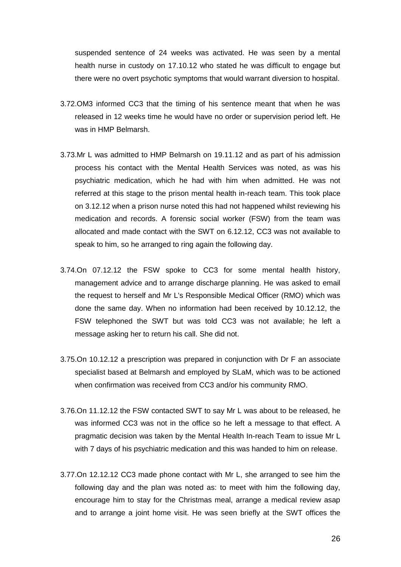suspended sentence of 24 weeks was activated. He was seen by a mental health nurse in custody on 17.10.12 who stated he was difficult to engage but there were no overt psychotic symptoms that would warrant diversion to hospital.

- 3.72.OM3 informed CC3 that the timing of his sentence meant that when he was released in 12 weeks time he would have no order or supervision period left. He was in HMP Belmarsh.
- 3.73.Mr L was admitted to HMP Belmarsh on 19.11.12 and as part of his admission process his contact with the Mental Health Services was noted, as was his psychiatric medication, which he had with him when admitted. He was not referred at this stage to the prison mental health in-reach team. This took place on 3.12.12 when a prison nurse noted this had not happened whilst reviewing his medication and records. A forensic social worker (FSW) from the team was allocated and made contact with the SWT on 6.12.12, CC3 was not available to speak to him, so he arranged to ring again the following day.
- 3.74.On 07.12.12 the FSW spoke to CC3 for some mental health history, management advice and to arrange discharge planning. He was asked to email the request to herself and Mr L's Responsible Medical Officer (RMO) which was done the same day. When no information had been received by 10.12.12, the FSW telephoned the SWT but was told CC3 was not available; he left a message asking her to return his call. She did not.
- 3.75.On 10.12.12 a prescription was prepared in conjunction with Dr F an associate specialist based at Belmarsh and employed by SLaM, which was to be actioned when confirmation was received from CC3 and/or his community RMO.
- 3.76.On 11.12.12 the FSW contacted SWT to say Mr L was about to be released, he was informed CC3 was not in the office so he left a message to that effect. A pragmatic decision was taken by the Mental Health In-reach Team to issue Mr L with 7 days of his psychiatric medication and this was handed to him on release.
- 3.77.On 12.12.12 CC3 made phone contact with Mr L, she arranged to see him the following day and the plan was noted as: to meet with him the following day, encourage him to stay for the Christmas meal, arrange a medical review asap and to arrange a joint home visit. He was seen briefly at the SWT offices the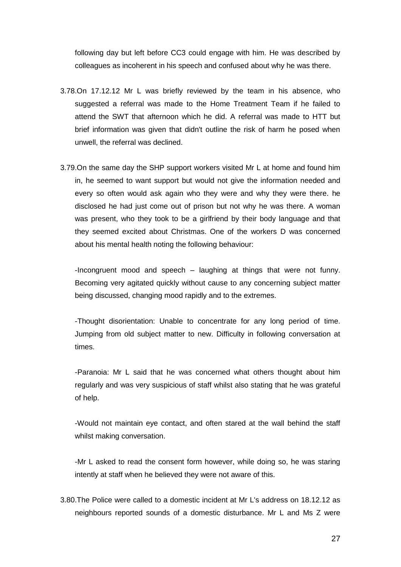following day but left before CC3 could engage with him. He was described by colleagues as incoherent in his speech and confused about why he was there.

- 3.78.On 17.12.12 Mr L was briefly reviewed by the team in his absence, who suggested a referral was made to the Home Treatment Team if he failed to attend the SWT that afternoon which he did. A referral was made to HTT but brief information was given that didn't outline the risk of harm he posed when unwell, the referral was declined.
- 3.79.On the same day the SHP support workers visited Mr L at home and found him in, he seemed to want support but would not give the information needed and every so often would ask again who they were and why they were there. he disclosed he had just come out of prison but not why he was there. A woman was present, who they took to be a girlfriend by their body language and that they seemed excited about Christmas. One of the workers D was concerned about his mental health noting the following behaviour:

-Incongruent mood and speech – laughing at things that were not funny. Becoming very agitated quickly without cause to any concerning subject matter being discussed, changing mood rapidly and to the extremes.

-Thought disorientation: Unable to concentrate for any long period of time. Jumping from old subject matter to new. Difficulty in following conversation at times.

-Paranoia: Mr L said that he was concerned what others thought about him regularly and was very suspicious of staff whilst also stating that he was grateful of help.

-Would not maintain eye contact, and often stared at the wall behind the staff whilst making conversation.

-Mr L asked to read the consent form however, while doing so, he was staring intently at staff when he believed they were not aware of this.

3.80.The Police were called to a domestic incident at Mr L's address on 18.12.12 as neighbours reported sounds of a domestic disturbance. Mr L and Ms Z were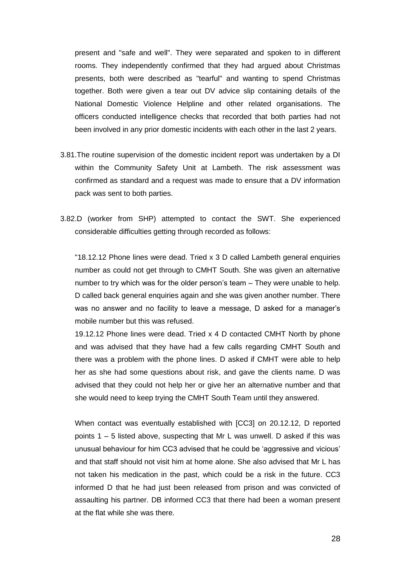present and "safe and well". They were separated and spoken to in different rooms. They independently confirmed that they had argued about Christmas presents, both were described as "tearful" and wanting to spend Christmas together. Both were given a tear out DV advice slip containing details of the National Domestic Violence Helpline and other related organisations. The officers conducted intelligence checks that recorded that both parties had not been involved in any prior domestic incidents with each other in the last 2 years.

- 3.81.The routine supervision of the domestic incident report was undertaken by a DI within the Community Safety Unit at Lambeth. The risk assessment was confirmed as standard and a request was made to ensure that a DV information pack was sent to both parties.
- 3.82.D (worker from SHP) attempted to contact the SWT. She experienced considerable difficulties getting through recorded as follows:

"18.12.12 Phone lines were dead. Tried x 3 D called Lambeth general enquiries number as could not get through to CMHT South. She was given an alternative number to try which was for the older person's team – They were unable to help. D called back general enquiries again and she was given another number. There was no answer and no facility to leave a message, D asked for a manager's mobile number but this was refused.

19.12.12 Phone lines were dead. Tried x 4 D contacted CMHT North by phone and was advised that they have had a few calls regarding CMHT South and there was a problem with the phone lines. D asked if CMHT were able to help her as she had some questions about risk, and gave the clients name. D was advised that they could not help her or give her an alternative number and that she would need to keep trying the CMHT South Team until they answered.

When contact was eventually established with [CC3] on 20.12.12, D reported points 1 – 5 listed above, suspecting that Mr L was unwell. D asked if this was unusual behaviour for him CC3 advised that he could be 'aggressive and vicious' and that staff should not visit him at home alone. She also advised that Mr L has not taken his medication in the past, which could be a risk in the future. CC3 informed D that he had just been released from prison and was convicted of assaulting his partner. DB informed CC3 that there had been a woman present at the flat while she was there.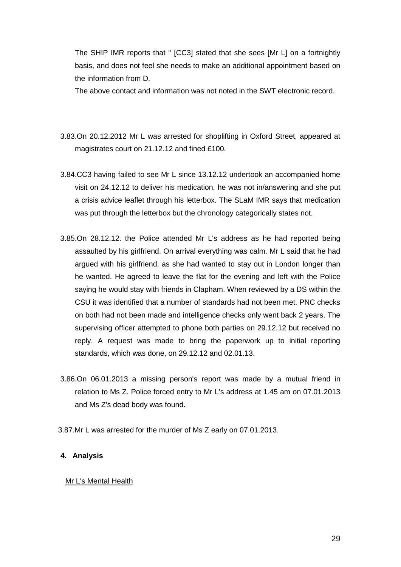The SHIP IMR reports that " [CC3] stated that she sees [Mr L] on a fortnightly basis, and does not feel she needs to make an additional appointment based on the information from D.

The above contact and information was not noted in the SWT electronic record.

- 3.83.On 20.12.2012 Mr L was arrested for shoplifting in Oxford Street, appeared at magistrates court on 21.12.12 and fined £100.
- 3.84.CC3 having failed to see Mr L since 13.12.12 undertook an accompanied home visit on 24.12.12 to deliver his medication, he was not in/answering and she put a crisis advice leaflet through his letterbox. The SLaM IMR says that medication was put through the letterbox but the chronology categorically states not.
- 3.85.On 28.12.12. the Police attended Mr L's address as he had reported being assaulted by his girlfriend. On arrival everything was calm. Mr L said that he had argued with his girlfriend, as she had wanted to stay out in London longer than he wanted. He agreed to leave the flat for the evening and left with the Police saying he would stay with friends in Clapham. When reviewed by a DS within the CSU it was identified that a number of standards had not been met. PNC checks on both had not been made and intelligence checks only went back 2 years. The supervising officer attempted to phone both parties on 29.12.12 but received no reply. A request was made to bring the paperwork up to initial reporting standards, which was done, on 29.12.12 and 02.01.13.
- 3.86.On 06.01.2013 a missing person's report was made by a mutual friend in relation to Ms Z. Police forced entry to Mr L's address at 1.45 am on 07.01.2013 and Ms Z's dead body was found.
- 3.87.Mr L was arrested for the murder of Ms Z early on 07.01.2013.

#### **4. Analysis**

#### Mr L's Mental Health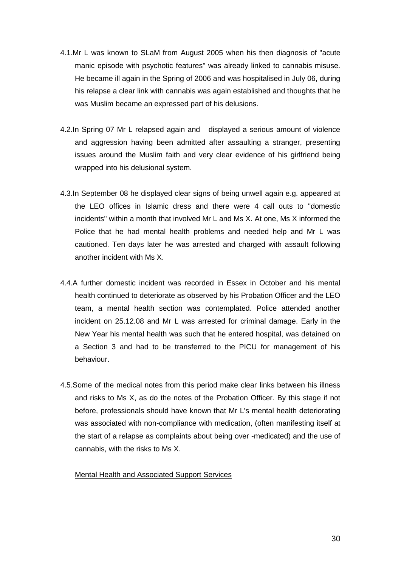- 4.1.Mr L was known to SLaM from August 2005 when his then diagnosis of "acute manic episode with psychotic features" was already linked to cannabis misuse. He became ill again in the Spring of 2006 and was hospitalised in July 06, during his relapse a clear link with cannabis was again established and thoughts that he was Muslim became an expressed part of his delusions.
- 4.2.In Spring 07 Mr L relapsed again and displayed a serious amount of violence and aggression having been admitted after assaulting a stranger, presenting issues around the Muslim faith and very clear evidence of his girlfriend being wrapped into his delusional system.
- 4.3.In September 08 he displayed clear signs of being unwell again e.g. appeared at the LEO offices in Islamic dress and there were 4 call outs to "domestic incidents" within a month that involved Mr L and Ms X. At one, Ms X informed the Police that he had mental health problems and needed help and Mr L was cautioned. Ten days later he was arrested and charged with assault following another incident with Ms X.
- 4.4.A further domestic incident was recorded in Essex in October and his mental health continued to deteriorate as observed by his Probation Officer and the LEO team, a mental health section was contemplated. Police attended another incident on 25.12.08 and Mr L was arrested for criminal damage. Early in the New Year his mental health was such that he entered hospital, was detained on a Section 3 and had to be transferred to the PICU for management of his behaviour.
- 4.5.Some of the medical notes from this period make clear links between his illness and risks to Ms X, as do the notes of the Probation Officer. By this stage if not before, professionals should have known that Mr L's mental health deteriorating was associated with non-compliance with medication, (often manifesting itself at the start of a relapse as complaints about being over -medicated) and the use of cannabis, with the risks to Ms X.

#### Mental Health and Associated Support Services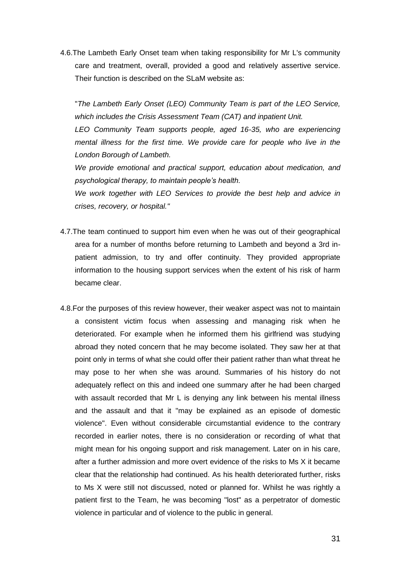4.6.The Lambeth Early Onset team when taking responsibility for Mr L's community care and treatment, overall, provided a good and relatively assertive service. Their function is described on the SLaM website as:

"*The Lambeth Early Onset (LEO) Community Team is part of the LEO Service, which includes the Crisis Assessment Team (CAT) and inpatient Unit.*

*LEO Community Team supports people, aged 16-35, who are experiencing mental illness for the first time. We provide care for people who live in the London Borough of Lambeth.*

*We provide emotional and practical support, education about medication, and psychological therapy, to maintain people's health.*

*We work together with LEO Services to provide the best help and advice in crises, recovery, or hospital."*

- 4.7.The team continued to support him even when he was out of their geographical area for a number of months before returning to Lambeth and beyond a 3rd inpatient admission, to try and offer continuity. They provided appropriate information to the housing support services when the extent of his risk of harm became clear.
- 4.8.For the purposes of this review however, their weaker aspect was not to maintain a consistent victim focus when assessing and managing risk when he deteriorated. For example when he informed them his girlfriend was studying abroad they noted concern that he may become isolated. They saw her at that point only in terms of what she could offer their patient rather than what threat he may pose to her when she was around. Summaries of his history do not adequately reflect on this and indeed one summary after he had been charged with assault recorded that Mr L is denying any link between his mental illness and the assault and that it "may be explained as an episode of domestic violence". Even without considerable circumstantial evidence to the contrary recorded in earlier notes, there is no consideration or recording of what that might mean for his ongoing support and risk management. Later on in his care, after a further admission and more overt evidence of the risks to Ms X it became clear that the relationship had continued. As his health deteriorated further, risks to Ms X were still not discussed, noted or planned for. Whilst he was rightly a patient first to the Team, he was becoming "lost" as a perpetrator of domestic violence in particular and of violence to the public in general.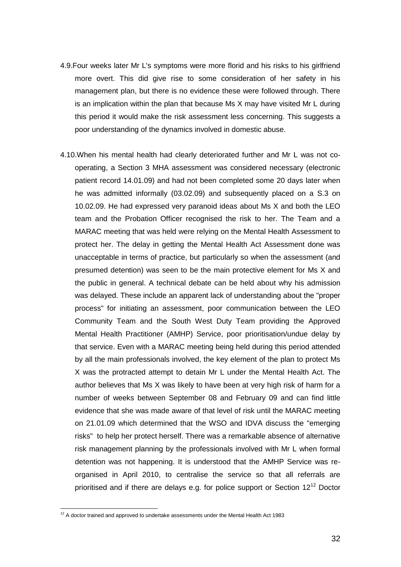- 4.9.Four weeks later Mr L's symptoms were more florid and his risks to his girlfriend more overt. This did give rise to some consideration of her safety in his management plan, but there is no evidence these were followed through. There is an implication within the plan that because Ms X may have visited Mr L during this period it would make the risk assessment less concerning. This suggests a poor understanding of the dynamics involved in domestic abuse.
- 4.10.When his mental health had clearly deteriorated further and Mr L was not cooperating, a Section 3 MHA assessment was considered necessary (electronic patient record 14.01.09) and had not been completed some 20 days later when he was admitted informally (03.02.09) and subsequently placed on a S.3 on 10.02.09. He had expressed very paranoid ideas about Ms X and both the LEO team and the Probation Officer recognised the risk to her. The Team and a MARAC meeting that was held were relying on the Mental Health Assessment to protect her. The delay in getting the Mental Health Act Assessment done was unacceptable in terms of practice, but particularly so when the assessment (and presumed detention) was seen to be the main protective element for Ms X and the public in general. A technical debate can be held about why his admission was delayed. These include an apparent lack of understanding about the "proper process" for initiating an assessment, poor communication between the LEO Community Team and the South West Duty Team providing the Approved Mental Health Practitioner (AMHP) Service, poor prioritisation/undue delay by that service. Even with a MARAC meeting being held during this period attended by all the main professionals involved, the key element of the plan to protect Ms X was the protracted attempt to detain Mr L under the Mental Health Act. The author believes that Ms X was likely to have been at very high risk of harm for a number of weeks between September 08 and February 09 and can find little evidence that she was made aware of that level of risk until the MARAC meeting on 21.01.09 which determined that the WSO and IDVA discuss the "emerging risks" to help her protect herself. There was a remarkable absence of alternative risk management planning by the professionals involved with Mr L when formal detention was not happening. It is understood that the AMHP Service was reorganised in April 2010, to centralise the service so that all referrals are prioritised and if there are delays e.g. for police support or Section  $12^{12}$  Doctor

 $\overline{a}$ 

 $12$  A doctor trained and approved to undertake assessments under the Mental Health Act 1983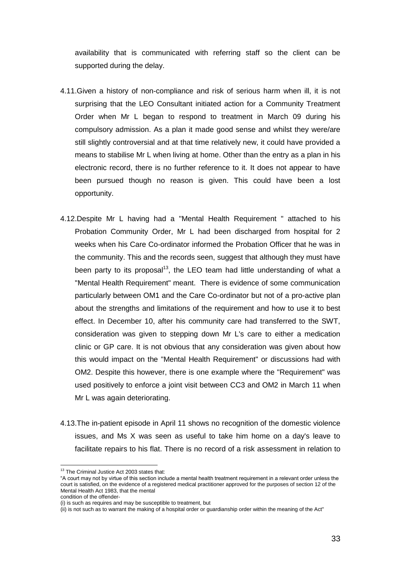availability that is communicated with referring staff so the client can be supported during the delay.

- 4.11.Given a history of non-compliance and risk of serious harm when ill, it is not surprising that the LEO Consultant initiated action for a Community Treatment Order when Mr L began to respond to treatment in March 09 during his compulsory admission. As a plan it made good sense and whilst they were/are still slightly controversial and at that time relatively new, it could have provided a means to stabilise Mr L when living at home. Other than the entry as a plan in his electronic record, there is no further reference to it. It does not appear to have been pursued though no reason is given. This could have been a lost opportunity.
- 4.12.Despite Mr L having had a "Mental Health Requirement " attached to his Probation Community Order, Mr L had been discharged from hospital for 2 weeks when his Care Co-ordinator informed the Probation Officer that he was in the community. This and the records seen, suggest that although they must have been party to its proposal<sup>13</sup>, the LEO team had little understanding of what a "Mental Health Requirement" meant. There is evidence of some communication particularly between OM1 and the Care Co-ordinator but not of a pro-active plan about the strengths and limitations of the requirement and how to use it to best effect. In December 10, after his community care had transferred to the SWT, consideration was given to stepping down Mr L's care to either a medication clinic or GP care. It is not obvious that any consideration was given about how this would impact on the "Mental Health Requirement" or discussions had with OM2. Despite this however, there is one example where the "Requirement" was used positively to enforce a joint visit between CC3 and OM2 in March 11 when Mr L was again deteriorating.
- 4.13.The in-patient episode in April 11 shows no recognition of the domestic violence issues, and Ms X was seen as useful to take him home on a day's leave to facilitate repairs to his flat. There is no record of a risk assessment in relation to

 $\overline{a}$ 

<sup>&</sup>lt;sup>13</sup> The Criminal Justice Act 2003 states that:

<sup>&</sup>quot;A court may not by virtue of this section include a mental health treatment requirement in a relevant order unless the court is satisfied, on the evidence of a registered medical practitioner approved for the purposes of section 12 of the Mental Health Act 1983, that the mental

condition of the offender-

<sup>(</sup>i) is such as requires and may be susceptible to treatment, but

<sup>(</sup>ii) is not such as to warrant the making of a hospital order or guardianship order within the meaning of the Act"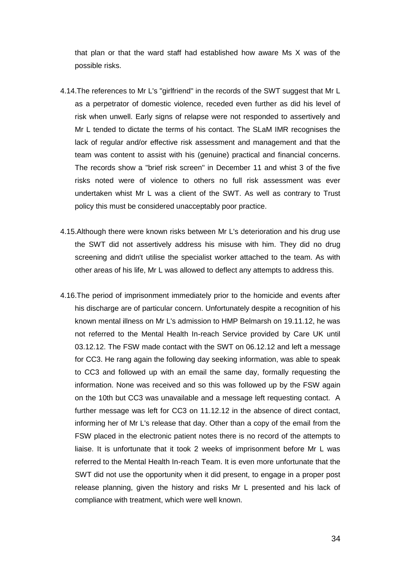that plan or that the ward staff had established how aware Ms X was of the possible risks.

- 4.14.The references to Mr L's "girlfriend" in the records of the SWT suggest that Mr L as a perpetrator of domestic violence, receded even further as did his level of risk when unwell. Early signs of relapse were not responded to assertively and Mr L tended to dictate the terms of his contact. The SLaM IMR recognises the lack of regular and/or effective risk assessment and management and that the team was content to assist with his (genuine) practical and financial concerns. The records show a "brief risk screen" in December 11 and whist 3 of the five risks noted were of violence to others no full risk assessment was ever undertaken whist Mr L was a client of the SWT. As well as contrary to Trust policy this must be considered unacceptably poor practice.
- 4.15.Although there were known risks between Mr L's deterioration and his drug use the SWT did not assertively address his misuse with him. They did no drug screening and didn't utilise the specialist worker attached to the team. As with other areas of his life, Mr L was allowed to deflect any attempts to address this.
- 4.16.The period of imprisonment immediately prior to the homicide and events after his discharge are of particular concern. Unfortunately despite a recognition of his known mental illness on Mr L's admission to HMP Belmarsh on 19.11.12, he was not referred to the Mental Health In-reach Service provided by Care UK until 03.12.12. The FSW made contact with the SWT on 06.12.12 and left a message for CC3. He rang again the following day seeking information, was able to speak to CC3 and followed up with an email the same day, formally requesting the information. None was received and so this was followed up by the FSW again on the 10th but CC3 was unavailable and a message left requesting contact. A further message was left for CC3 on 11.12.12 in the absence of direct contact, informing her of Mr L's release that day. Other than a copy of the email from the FSW placed in the electronic patient notes there is no record of the attempts to liaise. It is unfortunate that it took 2 weeks of imprisonment before Mr L was referred to the Mental Health In-reach Team. It is even more unfortunate that the SWT did not use the opportunity when it did present, to engage in a proper post release planning, given the history and risks Mr L presented and his lack of compliance with treatment, which were well known.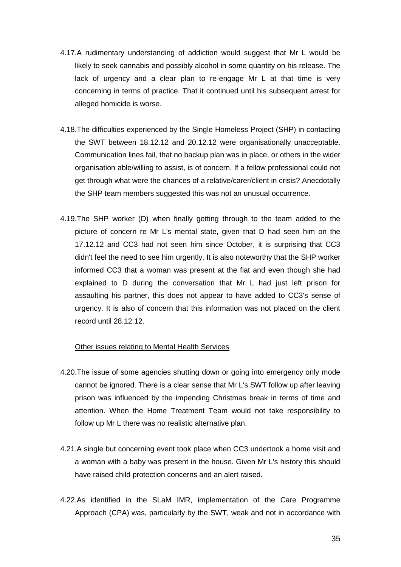- 4.17.A rudimentary understanding of addiction would suggest that Mr L would be likely to seek cannabis and possibly alcohol in some quantity on his release. The lack of urgency and a clear plan to re-engage Mr L at that time is very concerning in terms of practice. That it continued until his subsequent arrest for alleged homicide is worse.
- 4.18.The difficulties experienced by the Single Homeless Project (SHP) in contacting the SWT between 18.12.12 and 20.12.12 were organisationally unacceptable. Communication lines fail, that no backup plan was in place, or others in the wider organisation able/willing to assist, is of concern. If a fellow professional could not get through what were the chances of a relative/carer/client in crisis? Anecdotally the SHP team members suggested this was not an unusual occurrence.
- 4.19.The SHP worker (D) when finally getting through to the team added to the picture of concern re Mr L's mental state, given that D had seen him on the 17.12.12 and CC3 had not seen him since October, it is surprising that CC3 didn't feel the need to see him urgently. It is also noteworthy that the SHP worker informed CC3 that a woman was present at the flat and even though she had explained to D during the conversation that Mr L had just left prison for assaulting his partner, this does not appear to have added to CC3's sense of urgency. It is also of concern that this information was not placed on the client record until 28.12.12.

#### Other issues relating to Mental Health Services

- 4.20.The issue of some agencies shutting down or going into emergency only mode cannot be ignored. There is a clear sense that Mr L's SWT follow up after leaving prison was influenced by the impending Christmas break in terms of time and attention. When the Home Treatment Team would not take responsibility to follow up Mr L there was no realistic alternative plan.
- 4.21.A single but concerning event took place when CC3 undertook a home visit and a woman with a baby was present in the house. Given Mr L's history this should have raised child protection concerns and an alert raised.
- 4.22.As identified in the SLaM IMR, implementation of the Care Programme Approach (CPA) was, particularly by the SWT, weak and not in accordance with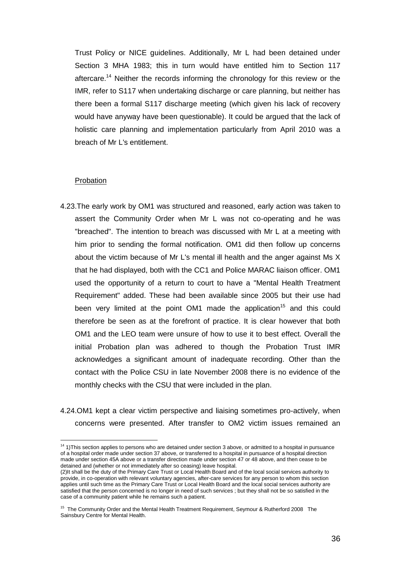Trust Policy or NICE guidelines. Additionally, Mr L had been detained under Section 3 MHA 1983; this in turn would have entitled him to Section 117 aftercare.<sup>14</sup> Neither the records informing the chronology for this review or the IMR, refer to S117 when undertaking discharge or care planning, but neither has there been a formal S117 discharge meeting (which given his lack of recovery would have anyway have been questionable). It could be argued that the lack of holistic care planning and implementation particularly from April 2010 was a breach of Mr L's entitlement.

#### Probation

 $\overline{a}$ 

- 4.23.The early work by OM1 was structured and reasoned, early action was taken to assert the Community Order when Mr L was not co-operating and he was "breached". The intention to breach was discussed with Mr L at a meeting with him prior to sending the formal notification. OM1 did then follow up concerns about the victim because of Mr L's mental ill health and the anger against Ms X that he had displayed, both with the CC1 and Police MARAC liaison officer. OM1 used the opportunity of a return to court to have a "Mental Health Treatment Requirement" added. These had been available since 2005 but their use had been very limited at the point  $OM1$  made the application<sup>15</sup> and this could therefore be seen as at the forefront of practice. It is clear however that both OM1 and the LEO team were unsure of how to use it to best effect. Overall the initial Probation plan was adhered to though the Probation Trust IMR acknowledges a significant amount of inadequate recording. Other than the contact with the Police CSU in late November 2008 there is no evidence of the monthly checks with the CSU that were included in the plan.
- 4.24.OM1 kept a clear victim perspective and liaising sometimes pro-actively, when concerns were presented. After transfer to OM2 victim issues remained an

<sup>&</sup>lt;sup>14</sup> 1)This section applies to persons who are detained under section 3 above, or admitted to a hospital in pursuance of a hospital order made under section 37 above, or transferred to a hospital in pursuance of a hospital direction made under section 45A above or a transfer direction made under section 47 or 48 above, and then cease to be detained and (whether or not immediately after so ceasing) leave hospital.

<sup>(2)</sup>It shall be the duty of the Primary Care Trust or Local Health Board and of the local social services authority to provide, in co-operation with relevant voluntary agencies, after-care services for any person to whom this section applies until such time as the Primary Care Trust or Local Health Board and the local social services authority are satisfied that the person concerned is no longer in need of such services ; but they shall not be so satisfied in the case of a community patient while he remains such a patient.

<sup>&</sup>lt;sup>15</sup> The Community Order and the Mental Health Treatment Requirement, Seymour & Rutherford 2008 The Sainsbury Centre for Mental Health.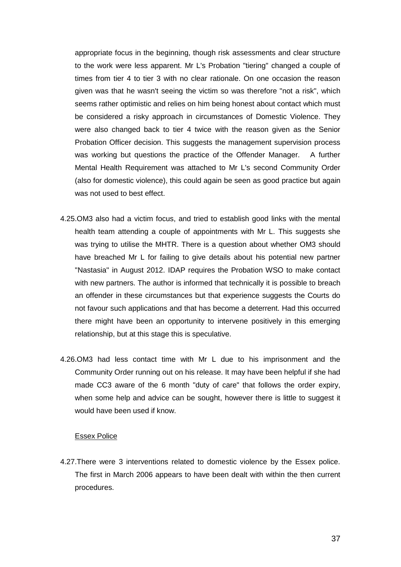appropriate focus in the beginning, though risk assessments and clear structure to the work were less apparent. Mr L's Probation "tiering" changed a couple of times from tier 4 to tier 3 with no clear rationale. On one occasion the reason given was that he wasn't seeing the victim so was therefore "not a risk", which seems rather optimistic and relies on him being honest about contact which must be considered a risky approach in circumstances of Domestic Violence. They were also changed back to tier 4 twice with the reason given as the Senior Probation Officer decision. This suggests the management supervision process was working but questions the practice of the Offender Manager. A further Mental Health Requirement was attached to Mr L's second Community Order (also for domestic violence), this could again be seen as good practice but again was not used to best effect.

- 4.25.OM3 also had a victim focus, and tried to establish good links with the mental health team attending a couple of appointments with Mr L. This suggests she was trying to utilise the MHTR. There is a question about whether OM3 should have breached Mr L for failing to give details about his potential new partner "Nastasia" in August 2012. IDAP requires the Probation WSO to make contact with new partners. The author is informed that technically it is possible to breach an offender in these circumstances but that experience suggests the Courts do not favour such applications and that has become a deterrent. Had this occurred there might have been an opportunity to intervene positively in this emerging relationship, but at this stage this is speculative.
- 4.26.OM3 had less contact time with Mr L due to his imprisonment and the Community Order running out on his release. It may have been helpful if she had made CC3 aware of the 6 month "duty of care" that follows the order expiry, when some help and advice can be sought, however there is little to suggest it would have been used if know.

#### Essex Police

4.27.There were 3 interventions related to domestic violence by the Essex police. The first in March 2006 appears to have been dealt with within the then current procedures.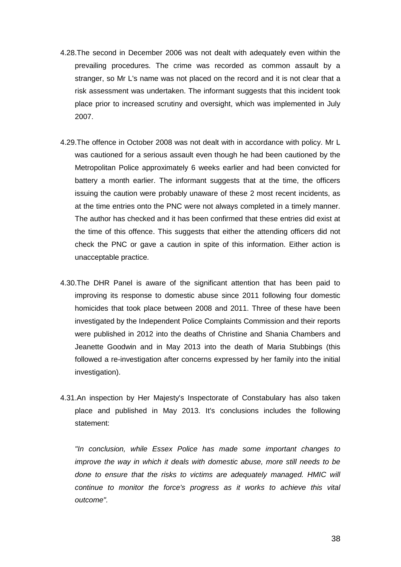- 4.28.The second in December 2006 was not dealt with adequately even within the prevailing procedures. The crime was recorded as common assault by a stranger, so Mr L's name was not placed on the record and it is not clear that a risk assessment was undertaken. The informant suggests that this incident took place prior to increased scrutiny and oversight, which was implemented in July 2007.
- 4.29.The offence in October 2008 was not dealt with in accordance with policy. Mr L was cautioned for a serious assault even though he had been cautioned by the Metropolitan Police approximately 6 weeks earlier and had been convicted for battery a month earlier. The informant suggests that at the time, the officers issuing the caution were probably unaware of these 2 most recent incidents, as at the time entries onto the PNC were not always completed in a timely manner. The author has checked and it has been confirmed that these entries did exist at the time of this offence. This suggests that either the attending officers did not check the PNC or gave a caution in spite of this information. Either action is unacceptable practice.
- 4.30.The DHR Panel is aware of the significant attention that has been paid to improving its response to domestic abuse since 2011 following four domestic homicides that took place between 2008 and 2011. Three of these have been investigated by the Independent Police Complaints Commission and their reports were published in 2012 into the deaths of Christine and Shania Chambers and Jeanette Goodwin and in May 2013 into the death of Maria Stubbings (this followed a re-investigation after concerns expressed by her family into the initial investigation).
- 4.31.An inspection by Her Majesty's Inspectorate of Constabulary has also taken place and published in May 2013. It's conclusions includes the following statement:

*"In conclusion, while Essex Police has made some important changes to improve the way in which it deals with domestic abuse, more still needs to be done to ensure that the risks to victims are adequately managed. HMIC will continue to monitor the force's progress as it works to achieve this vital outcome".*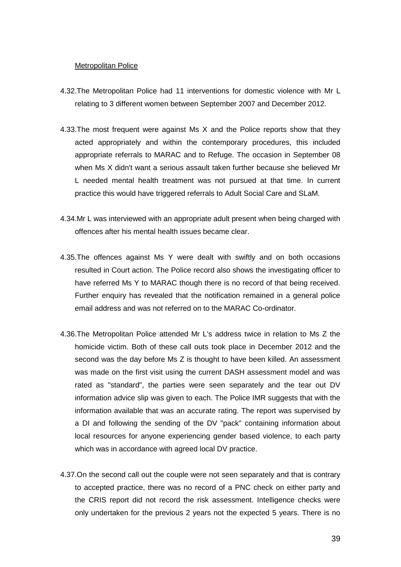#### Metropolitan Police

- 4.32.The Metropolitan Police had 11 interventions for domestic violence with Mr L relating to 3 different women between September 2007 and December 2012.
- 4.33.The most frequent were against Ms X and the Police reports show that they acted appropriately and within the contemporary procedures, this included appropriate referrals to MARAC and to Refuge. The occasion in September 08 when Ms X didn't want a serious assault taken further because she believed Mr L needed mental health treatment was not pursued at that time. In current practice this would have triggered referrals to Adult Social Care and SLaM.
- 4.34.Mr L was interviewed with an appropriate adult present when being charged with offences after his mental health issues became clear.
- 4.35.The offences against Ms Y were dealt with swiftly and on both occasions resulted in Court action. The Police record also shows the investigating officer to have referred Ms Y to MARAC though there is no record of that being received. Further enquiry has revealed that the notification remained in a general police email address and was not referred on to the MARAC Co-ordinator.
- 4.36.The Metropolitan Police attended Mr L's address twice in relation to Ms Z the homicide victim. Both of these call outs took place in December 2012 and the second was the day before Ms Z is thought to have been killed. An assessment was made on the first visit using the current DASH assessment model and was rated as "standard", the parties were seen separately and the tear out DV information advice slip was given to each. The Police IMR suggests that with the information available that was an accurate rating. The report was supervised by a DI and following the sending of the DV "pack" containing information about local resources for anyone experiencing gender based violence, to each party which was in accordance with agreed local DV practice.
- 4.37.On the second call out the couple were not seen separately and that is contrary to accepted practice, there was no record of a PNC check on either party and the CRIS report did not record the risk assessment. Intelligence checks were only undertaken for the previous 2 years not the expected 5 years. There is no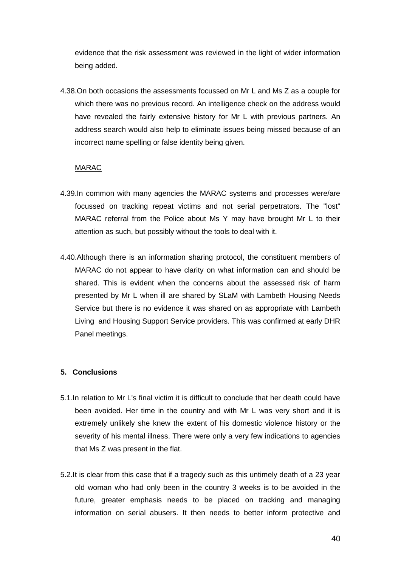evidence that the risk assessment was reviewed in the light of wider information being added.

4.38.On both occasions the assessments focussed on Mr L and Ms Z as a couple for which there was no previous record. An intelligence check on the address would have revealed the fairly extensive history for Mr L with previous partners. An address search would also help to eliminate issues being missed because of an incorrect name spelling or false identity being given.

#### MARAC

- 4.39.In common with many agencies the MARAC systems and processes were/are focussed on tracking repeat victims and not serial perpetrators. The "lost" MARAC referral from the Police about Ms Y may have brought Mr L to their attention as such, but possibly without the tools to deal with it.
- 4.40.Although there is an information sharing protocol, the constituent members of MARAC do not appear to have clarity on what information can and should be shared. This is evident when the concerns about the assessed risk of harm presented by Mr L when ill are shared by SLaM with Lambeth Housing Needs Service but there is no evidence it was shared on as appropriate with Lambeth Living and Housing Support Service providers. This was confirmed at early DHR Panel meetings.

#### **5. Conclusions**

- 5.1.In relation to Mr L's final victim it is difficult to conclude that her death could have been avoided. Her time in the country and with Mr L was very short and it is extremely unlikely she knew the extent of his domestic violence history or the severity of his mental illness. There were only a very few indications to agencies that Ms Z was present in the flat.
- 5.2.It is clear from this case that if a tragedy such as this untimely death of a 23 year old woman who had only been in the country 3 weeks is to be avoided in the future, greater emphasis needs to be placed on tracking and managing information on serial abusers. It then needs to better inform protective and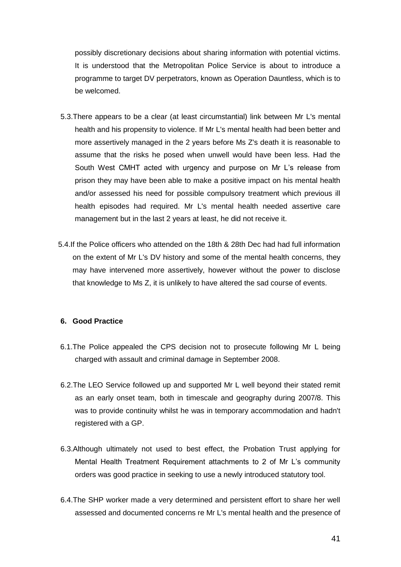possibly discretionary decisions about sharing information with potential victims. It is understood that the Metropolitan Police Service is about to introduce a programme to target DV perpetrators, known as Operation Dauntless, which is to be welcomed.

- 5.3.There appears to be a clear (at least circumstantial) link between Mr L's mental health and his propensity to violence. If Mr L's mental health had been better and more assertively managed in the 2 years before Ms Z's death it is reasonable to assume that the risks he posed when unwell would have been less. Had the South West CMHT acted with urgency and purpose on Mr L's release from prison they may have been able to make a positive impact on his mental health and/or assessed his need for possible compulsory treatment which previous ill health episodes had required. Mr L's mental health needed assertive care management but in the last 2 years at least, he did not receive it.
- 5.4.If the Police officers who attended on the 18th & 28th Dec had had full information on the extent of Mr L's DV history and some of the mental health concerns, they may have intervened more assertively, however without the power to disclose that knowledge to Ms Z, it is unlikely to have altered the sad course of events.

## **6. Good Practice**

- 6.1.The Police appealed the CPS decision not to prosecute following Mr L being charged with assault and criminal damage in September 2008.
- 6.2.The LEO Service followed up and supported Mr L well beyond their stated remit as an early onset team, both in timescale and geography during 2007/8. This was to provide continuity whilst he was in temporary accommodation and hadn't registered with a GP.
- 6.3.Although ultimately not used to best effect, the Probation Trust applying for Mental Health Treatment Requirement attachments to 2 of Mr L's community orders was good practice in seeking to use a newly introduced statutory tool.
- 6.4.The SHP worker made a very determined and persistent effort to share her well assessed and documented concerns re Mr L's mental health and the presence of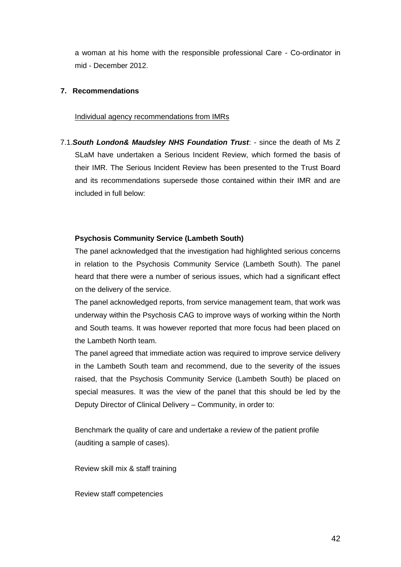a woman at his home with the responsible professional Care - Co-ordinator in mid - December 2012.

## **7. Recommendations**

#### Individual agency recommendations from IMRs

7.1.*South London& Maudsley NHS Foundation Trust*: - since the death of Ms Z SLaM have undertaken a Serious Incident Review, which formed the basis of their IMR. The Serious Incident Review has been presented to the Trust Board and its recommendations supersede those contained within their IMR and are included in full below:

# **Psychosis Community Service (Lambeth South)**

The panel acknowledged that the investigation had highlighted serious concerns in relation to the Psychosis Community Service (Lambeth South). The panel heard that there were a number of serious issues, which had a significant effect on the delivery of the service.

The panel acknowledged reports, from service management team, that work was underway within the Psychosis CAG to improve ways of working within the North and South teams. It was however reported that more focus had been placed on the Lambeth North team.

The panel agreed that immediate action was required to improve service delivery in the Lambeth South team and recommend, due to the severity of the issues raised, that the Psychosis Community Service (Lambeth South) be placed on special measures. It was the view of the panel that this should be led by the Deputy Director of Clinical Delivery – Community, in order to:

Benchmark the quality of care and undertake a review of the patient profile (auditing a sample of cases).

Review skill mix & staff training

Review staff competencies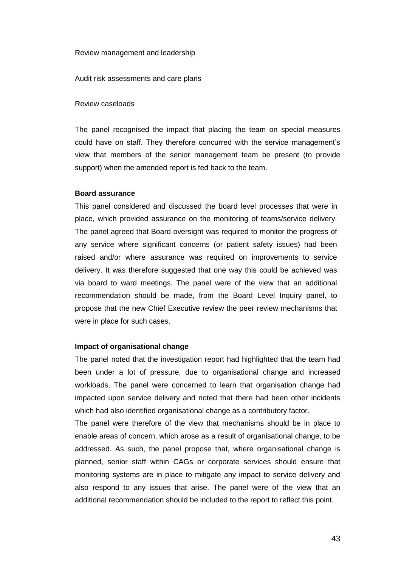#### Review management and leadership

Audit risk assessments and care plans

#### Review caseloads

The panel recognised the impact that placing the team on special measures could have on staff. They therefore concurred with the service management's view that members of the senior management team be present (to provide support) when the amended report is fed back to the team.

#### **Board assurance**

This panel considered and discussed the board level processes that were in place, which provided assurance on the monitoring of teams/service delivery. The panel agreed that Board oversight was required to monitor the progress of any service where significant concerns (or patient safety issues) had been raised and/or where assurance was required on improvements to service delivery. It was therefore suggested that one way this could be achieved was via board to ward meetings. The panel were of the view that an additional recommendation should be made, from the Board Level Inquiry panel, to propose that the new Chief Executive review the peer review mechanisms that were in place for such cases.

#### **Impact of organisational change**

The panel noted that the investigation report had highlighted that the team had been under a lot of pressure, due to organisational change and increased workloads. The panel were concerned to learn that organisation change had impacted upon service delivery and noted that there had been other incidents which had also identified organisational change as a contributory factor.

The panel were therefore of the view that mechanisms should be in place to enable areas of concern, which arose as a result of organisational change, to be addressed. As such, the panel propose that, where organisational change is planned, senior staff within CAGs or corporate services should ensure that monitoring systems are in place to mitigate any impact to service delivery and also respond to any issues that arise. The panel were of the view that an additional recommendation should be included to the report to reflect this point.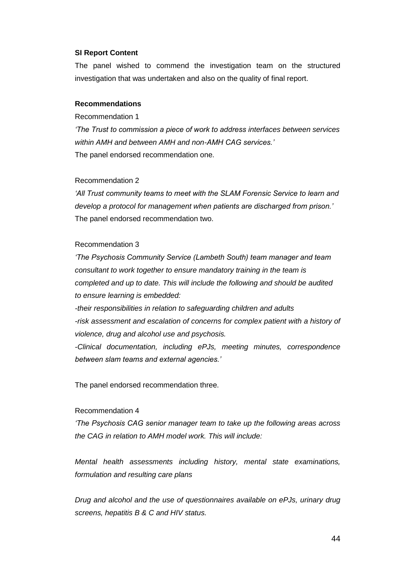#### **SI Report Content**

The panel wished to commend the investigation team on the structured investigation that was undertaken and also on the quality of final report.

#### **Recommendations**

Recommendation 1

*'The Trust to commission a piece of work to address interfaces between services within AMH and between AMH and non-AMH CAG services.'*  The panel endorsed recommendation one.

#### Recommendation 2

*'All Trust community teams to meet with the SLAM Forensic Service to learn and develop a protocol for management when patients are discharged from prison.'*  The panel endorsed recommendation two.

#### Recommendation 3

*'The Psychosis Community Service (Lambeth South) team manager and team consultant to work together to ensure mandatory training in the team is completed and up to date. This will include the following and should be audited to ensure learning is embedded:* 

*-their responsibilities in relation to safeguarding children and adults -risk assessment and escalation of concerns for complex patient with a history of violence, drug and alcohol use and psychosis.* 

*-Clinical documentation, including ePJs, meeting minutes, correspondence between slam teams and external agencies.'* 

The panel endorsed recommendation three.

#### Recommendation 4

*'The Psychosis CAG senior manager team to take up the following areas across the CAG in relation to AMH model work. This will include:* 

*Mental health assessments including history, mental state examinations, formulation and resulting care plans* 

*Drug and alcohol and the use of questionnaires available on ePJs, urinary drug screens, hepatitis B & C and HIV status.*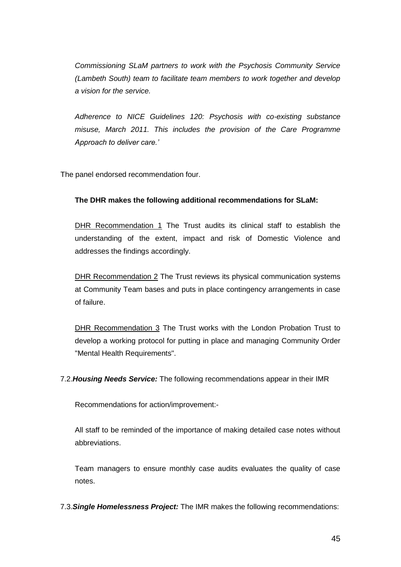*Commissioning SLaM partners to work with the Psychosis Community Service (Lambeth South) team to facilitate team members to work together and develop a vision for the service.* 

*Adherence to NICE Guidelines 120: Psychosis with co-existing substance misuse, March 2011. This includes the provision of the Care Programme Approach to deliver care.'* 

The panel endorsed recommendation four.

# **The DHR makes the following additional recommendations for SLaM:**

DHR Recommendation 1 The Trust audits its clinical staff to establish the understanding of the extent, impact and risk of Domestic Violence and addresses the findings accordingly.

DHR Recommendation 2 The Trust reviews its physical communication systems at Community Team bases and puts in place contingency arrangements in case of failure.

DHR Recommendation 3 The Trust works with the London Probation Trust to develop a working protocol for putting in place and managing Community Order "Mental Health Requirements".

7.2.*Housing Needs Service:* The following recommendations appear in their IMR

Recommendations for action/improvement:-

All staff to be reminded of the importance of making detailed case notes without abbreviations.

Team managers to ensure monthly case audits evaluates the quality of case notes.

7.3.*Single Homelessness Project:* The IMR makes the following recommendations: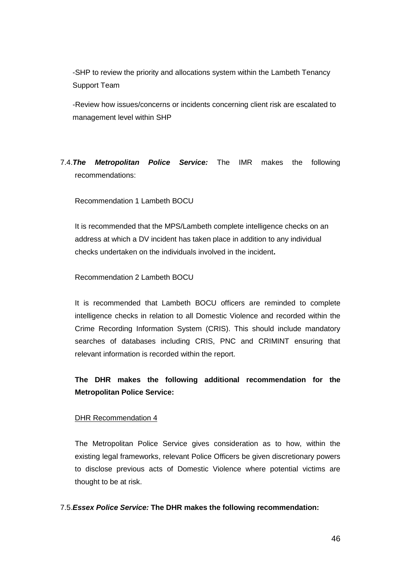-SHP to review the priority and allocations system within the Lambeth Tenancy Support Team

-Review how issues/concerns or incidents concerning client risk are escalated to management level within SHP

# 7.4.*The Metropolitan Police Service:* The IMR makes the following recommendations:

Recommendation 1 Lambeth BOCU

It is recommended that the MPS/Lambeth complete intelligence checks on an address at which a DV incident has taken place in addition to any individual checks undertaken on the individuals involved in the incident**.**

Recommendation 2 Lambeth BOCU

It is recommended that Lambeth BOCU officers are reminded to complete intelligence checks in relation to all Domestic Violence and recorded within the Crime Recording Information System (CRIS). This should include mandatory searches of databases including CRIS, PNC and CRIMINT ensuring that relevant information is recorded within the report.

# **The DHR makes the following additional recommendation for the Metropolitan Police Service:**

#### DHR Recommendation 4

The Metropolitan Police Service gives consideration as to how, within the existing legal frameworks, relevant Police Officers be given discretionary powers to disclose previous acts of Domestic Violence where potential victims are thought to be at risk.

#### 7.5.*Essex Police Service:* **The DHR makes the following recommendation:**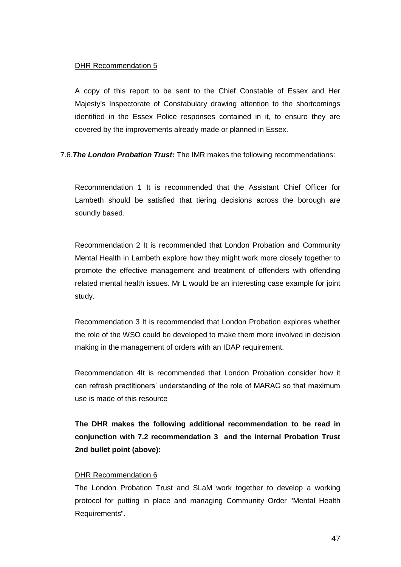#### DHR Recommendation 5

A copy of this report to be sent to the Chief Constable of Essex and Her Majesty's Inspectorate of Constabulary drawing attention to the shortcomings identified in the Essex Police responses contained in it, to ensure they are covered by the improvements already made or planned in Essex.

7.6.*The London Probation Trust:* The IMR makes the following recommendations:

Recommendation 1 It is recommended that the Assistant Chief Officer for Lambeth should be satisfied that tiering decisions across the borough are soundly based.

Recommendation 2 It is recommended that London Probation and Community Mental Health in Lambeth explore how they might work more closely together to promote the effective management and treatment of offenders with offending related mental health issues. Mr L would be an interesting case example for joint study.

Recommendation 3 It is recommended that London Probation explores whether the role of the WSO could be developed to make them more involved in decision making in the management of orders with an IDAP requirement.

Recommendation 4It is recommended that London Probation consider how it can refresh practitioners' understanding of the role of MARAC so that maximum use is made of this resource

**The DHR makes the following additional recommendation to be read in conjunction with 7.2 recommendation 3 and the internal Probation Trust 2nd bullet point (above):**

#### DHR Recommendation 6

The London Probation Trust and SLaM work together to develop a working protocol for putting in place and managing Community Order "Mental Health Requirements".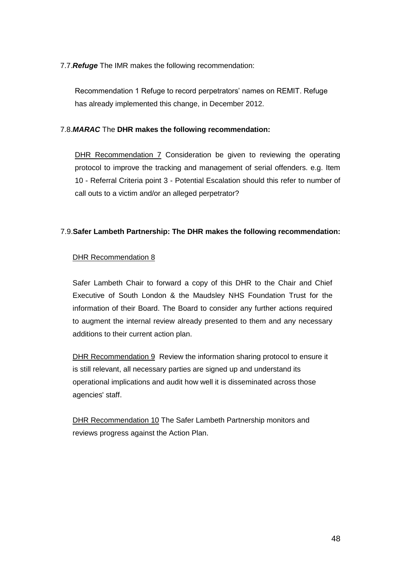7.7.*Refuge* The IMR makes the following recommendation:

Recommendation 1 Refuge to record perpetrators' names on REMIT. Refuge has already implemented this change, in December 2012.

# 7.8.*MARAC* The **DHR makes the following recommendation:**

DHR Recommendation 7 Consideration be given to reviewing the operating protocol to improve the tracking and management of serial offenders. e.g. Item 10 - Referral Criteria point 3 - Potential Escalation should this refer to number of call outs to a victim and/or an alleged perpetrator?

# 7.9.**Safer Lambeth Partnership: The DHR makes the following recommendation:**

# DHR Recommendation 8

Safer Lambeth Chair to forward a copy of this DHR to the Chair and Chief Executive of South London & the Maudsley NHS Foundation Trust for the information of their Board. The Board to consider any further actions required to augment the internal review already presented to them and any necessary additions to their current action plan.

DHR Recommendation 9 Review the information sharing protocol to ensure it is still relevant, all necessary parties are signed up and understand its operational implications and audit how well it is disseminated across those agencies' staff.

DHR Recommendation 10 The Safer Lambeth Partnership monitors and reviews progress against the Action Plan.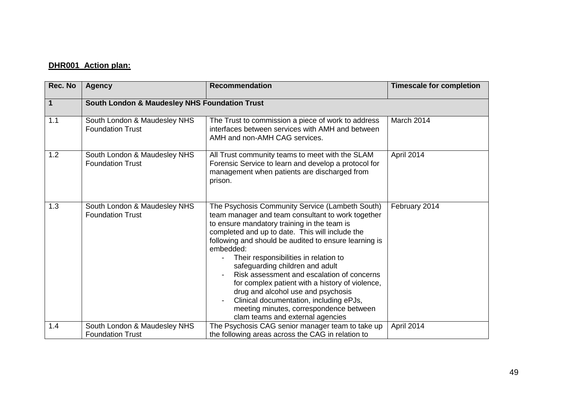# **DHR001 Action plan:**

| Rec. No     | <b>Agency</b>                                            | <b>Recommendation</b>                                                                                                                                                                                                                                                                                                                                                                                                                                                                                                                                                                                                     | <b>Timescale for completion</b> |
|-------------|----------------------------------------------------------|---------------------------------------------------------------------------------------------------------------------------------------------------------------------------------------------------------------------------------------------------------------------------------------------------------------------------------------------------------------------------------------------------------------------------------------------------------------------------------------------------------------------------------------------------------------------------------------------------------------------------|---------------------------------|
| $\mathbf 1$ | <b>South London &amp; Maudesley NHS Foundation Trust</b> |                                                                                                                                                                                                                                                                                                                                                                                                                                                                                                                                                                                                                           |                                 |
| 1.1         | South London & Maudesley NHS<br><b>Foundation Trust</b>  | The Trust to commission a piece of work to address<br>interfaces between services with AMH and between<br>AMH and non-AMH CAG services.                                                                                                                                                                                                                                                                                                                                                                                                                                                                                   | March 2014                      |
| 1.2         | South London & Maudesley NHS<br><b>Foundation Trust</b>  | All Trust community teams to meet with the SLAM<br>Forensic Service to learn and develop a protocol for<br>management when patients are discharged from<br>prison.                                                                                                                                                                                                                                                                                                                                                                                                                                                        | April 2014                      |
| 1.3         | South London & Maudesley NHS<br><b>Foundation Trust</b>  | The Psychosis Community Service (Lambeth South)<br>team manager and team consultant to work together<br>to ensure mandatory training in the team is<br>completed and up to date. This will include the<br>following and should be audited to ensure learning is<br>embedded:<br>Their responsibilities in relation to<br>safeguarding children and adult<br>Risk assessment and escalation of concerns<br>for complex patient with a history of violence,<br>drug and alcohol use and psychosis<br>Clinical documentation, including ePJs,<br>meeting minutes, correspondence between<br>clam teams and external agencies | February 2014                   |
| 1.4         | South London & Maudesley NHS<br><b>Foundation Trust</b>  | The Psychosis CAG senior manager team to take up<br>the following areas across the CAG in relation to                                                                                                                                                                                                                                                                                                                                                                                                                                                                                                                     | April 2014                      |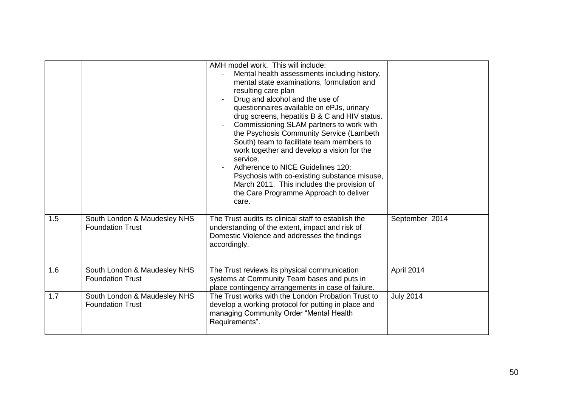|     |                                                         | AMH model work. This will include:<br>Mental health assessments including history,<br>mental state examinations, formulation and<br>resulting care plan<br>Drug and alcohol and the use of<br>questionnaires available on ePJs, urinary<br>drug screens, hepatitis B & C and HIV status.<br>Commissioning SLAM partners to work with<br>the Psychosis Community Service (Lambeth<br>South) team to facilitate team members to<br>work together and develop a vision for the<br>service.<br>Adherence to NICE Guidelines 120:<br>Psychosis with co-existing substance misuse,<br>March 2011. This includes the provision of<br>the Care Programme Approach to deliver<br>care. |                  |
|-----|---------------------------------------------------------|-------------------------------------------------------------------------------------------------------------------------------------------------------------------------------------------------------------------------------------------------------------------------------------------------------------------------------------------------------------------------------------------------------------------------------------------------------------------------------------------------------------------------------------------------------------------------------------------------------------------------------------------------------------------------------|------------------|
| 1.5 | South London & Maudesley NHS<br><b>Foundation Trust</b> | The Trust audits its clinical staff to establish the<br>understanding of the extent, impact and risk of<br>Domestic Violence and addresses the findings<br>accordingly.                                                                                                                                                                                                                                                                                                                                                                                                                                                                                                       | September 2014   |
| 1.6 | South London & Maudesley NHS<br><b>Foundation Trust</b> | The Trust reviews its physical communication<br>systems at Community Team bases and puts in<br>place contingency arrangements in case of failure.                                                                                                                                                                                                                                                                                                                                                                                                                                                                                                                             | April 2014       |
| 1.7 | South London & Maudesley NHS<br><b>Foundation Trust</b> | The Trust works with the London Probation Trust to<br>develop a working protocol for putting in place and<br>managing Community Order "Mental Health<br>Requirements".                                                                                                                                                                                                                                                                                                                                                                                                                                                                                                        | <b>July 2014</b> |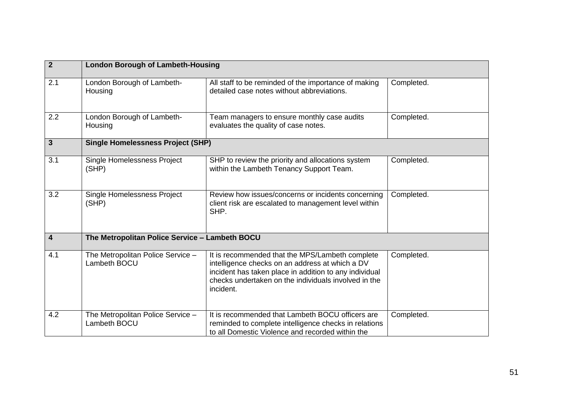| $\overline{2}$          | <b>London Borough of Lambeth-Housing</b>          |                                                                                                                                                                                                                                   |            |
|-------------------------|---------------------------------------------------|-----------------------------------------------------------------------------------------------------------------------------------------------------------------------------------------------------------------------------------|------------|
| 2.1                     | London Borough of Lambeth-<br>Housing             | All staff to be reminded of the importance of making<br>detailed case notes without abbreviations.                                                                                                                                | Completed. |
| 2.2                     | London Borough of Lambeth-<br>Housing             | Team managers to ensure monthly case audits<br>evaluates the quality of case notes.                                                                                                                                               | Completed. |
| $\mathbf{3}$            | <b>Single Homelessness Project (SHP)</b>          |                                                                                                                                                                                                                                   |            |
| 3.1                     | Single Homelessness Project<br>(SHP)              | SHP to review the priority and allocations system<br>within the Lambeth Tenancy Support Team.                                                                                                                                     | Completed. |
| 3.2                     | Single Homelessness Project<br>(SHP)              | Review how issues/concerns or incidents concerning<br>client risk are escalated to management level within<br>SHP.                                                                                                                | Completed. |
| $\overline{\mathbf{4}}$ | The Metropolitan Police Service - Lambeth BOCU    |                                                                                                                                                                                                                                   |            |
| 4.1                     | The Metropolitan Police Service -<br>Lambeth BOCU | It is recommended that the MPS/Lambeth complete<br>intelligence checks on an address at which a DV<br>incident has taken place in addition to any individual<br>checks undertaken on the individuals involved in the<br>incident. | Completed. |
| 4.2                     | The Metropolitan Police Service -<br>Lambeth BOCU | It is recommended that Lambeth BOCU officers are<br>reminded to complete intelligence checks in relations<br>to all Domestic Violence and recorded within the                                                                     | Completed. |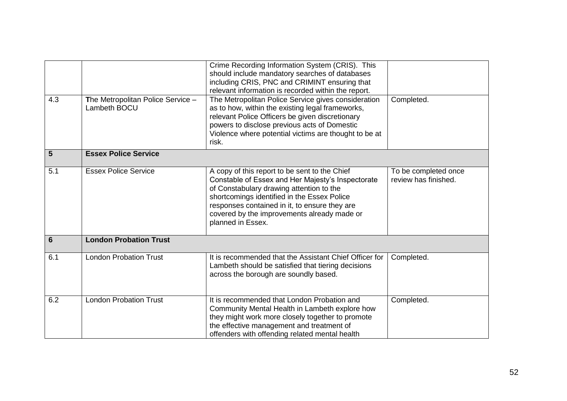|                 |                                                   | Crime Recording Information System (CRIS). This<br>should include mandatory searches of databases<br>including CRIS, PNC and CRIMINT ensuring that<br>relevant information is recorded within the report.                                                                                                          |                                              |
|-----------------|---------------------------------------------------|--------------------------------------------------------------------------------------------------------------------------------------------------------------------------------------------------------------------------------------------------------------------------------------------------------------------|----------------------------------------------|
| 4.3             | The Metropolitan Police Service -<br>Lambeth BOCU | The Metropolitan Police Service gives consideration<br>as to how, within the existing legal frameworks,<br>relevant Police Officers be given discretionary<br>powers to disclose previous acts of Domestic<br>Violence where potential victims are thought to be at<br>risk.                                       | Completed.                                   |
| 5               | <b>Essex Police Service</b>                       |                                                                                                                                                                                                                                                                                                                    |                                              |
| 5.1             | <b>Essex Police Service</b>                       | A copy of this report to be sent to the Chief<br>Constable of Essex and Her Majesty's Inspectorate<br>of Constabulary drawing attention to the<br>shortcomings identified in the Essex Police<br>responses contained in it, to ensure they are<br>covered by the improvements already made or<br>planned in Essex. | To be completed once<br>review has finished. |
| $6\phantom{1}6$ | <b>London Probation Trust</b>                     |                                                                                                                                                                                                                                                                                                                    |                                              |
| 6.1             | <b>London Probation Trust</b>                     | It is recommended that the Assistant Chief Officer for<br>Lambeth should be satisfied that tiering decisions<br>across the borough are soundly based.                                                                                                                                                              | Completed.                                   |
| 6.2             | <b>London Probation Trust</b>                     | It is recommended that London Probation and<br>Community Mental Health in Lambeth explore how<br>they might work more closely together to promote<br>the effective management and treatment of<br>offenders with offending related mental health                                                                   | Completed.                                   |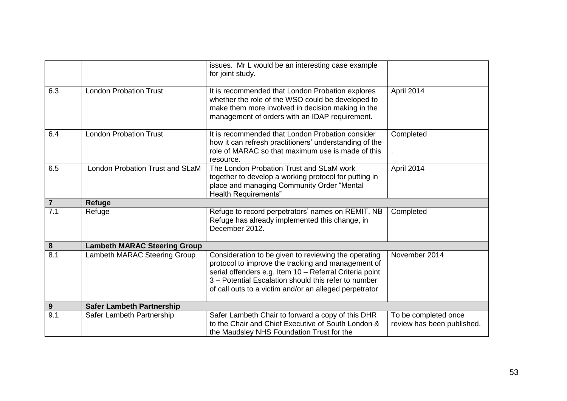|                  |                                     | issues. Mr L would be an interesting case example<br>for joint study.                                                                                                                                                                                                                   |                                                    |
|------------------|-------------------------------------|-----------------------------------------------------------------------------------------------------------------------------------------------------------------------------------------------------------------------------------------------------------------------------------------|----------------------------------------------------|
| 6.3              | <b>London Probation Trust</b>       | It is recommended that London Probation explores<br>whether the role of the WSO could be developed to<br>make them more involved in decision making in the<br>management of orders with an IDAP requirement.                                                                            | April 2014                                         |
| 6.4              | <b>London Probation Trust</b>       | It is recommended that London Probation consider<br>how it can refresh practitioners' understanding of the<br>role of MARAC so that maximum use is made of this<br>resource.                                                                                                            | Completed                                          |
| 6.5              | London Probation Trust and SLaM     | The London Probation Trust and SLaM work<br>together to develop a working protocol for putting in<br>place and managing Community Order "Mental<br>Health Requirements"                                                                                                                 | April 2014                                         |
| $\overline{7}$   | Refuge                              |                                                                                                                                                                                                                                                                                         |                                                    |
| $\overline{7.1}$ | Refuge                              | Refuge to record perpetrators' names on REMIT. NB<br>Refuge has already implemented this change, in<br>December 2012.                                                                                                                                                                   | Completed                                          |
| $\bf{8}$         | <b>Lambeth MARAC Steering Group</b> |                                                                                                                                                                                                                                                                                         |                                                    |
| 8.1              | Lambeth MARAC Steering Group        | Consideration to be given to reviewing the operating<br>protocol to improve the tracking and management of<br>serial offenders e.g. Item 10 - Referral Criteria point<br>3 - Potential Escalation should this refer to number<br>of call outs to a victim and/or an alleged perpetrator | November 2014                                      |
| 9                | <b>Safer Lambeth Partnership</b>    |                                                                                                                                                                                                                                                                                         |                                                    |
| 9.1              | Safer Lambeth Partnership           | Safer Lambeth Chair to forward a copy of this DHR<br>to the Chair and Chief Executive of South London &<br>the Maudsley NHS Foundation Trust for the                                                                                                                                    | To be completed once<br>review has been published. |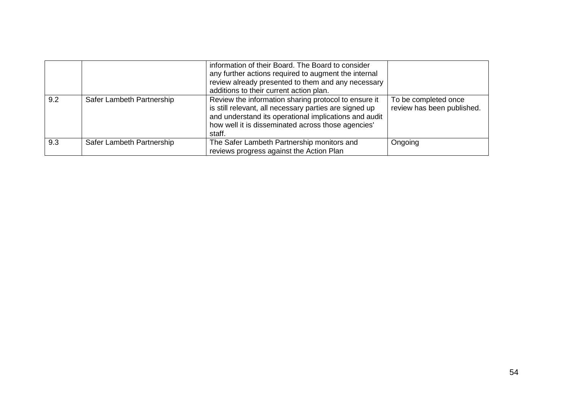|     |                           | information of their Board. The Board to consider<br>any further actions required to augment the internal<br>review already presented to them and any necessary<br>additions to their current action plan.                              |                                                    |
|-----|---------------------------|-----------------------------------------------------------------------------------------------------------------------------------------------------------------------------------------------------------------------------------------|----------------------------------------------------|
| 9.2 | Safer Lambeth Partnership | Review the information sharing protocol to ensure it<br>is still relevant, all necessary parties are signed up<br>and understand its operational implications and audit<br>how well it is disseminated across those agencies'<br>staff. | To be completed once<br>review has been published. |
| 9.3 | Safer Lambeth Partnership | The Safer Lambeth Partnership monitors and<br>reviews progress against the Action Plan                                                                                                                                                  | Ongoing                                            |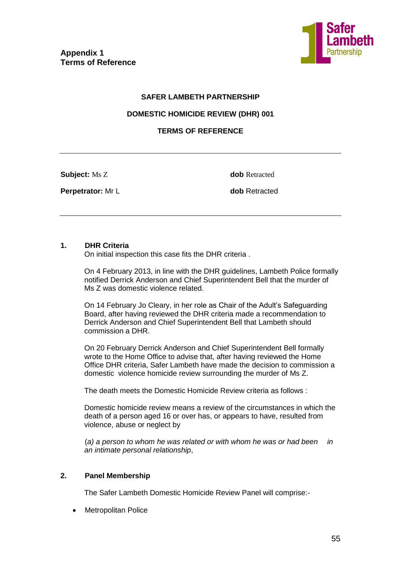

## **SAFER LAMBETH PARTNERSHIP**

#### **DOMESTIC HOMICIDE REVIEW (DHR) 001**

# **TERMS OF REFERENCE**

**Subject:** Ms Z **dob** Retracted

**Perpetrator:** Mr L **dob** Retracted

#### **1. DHR Criteria**

On initial inspection this case fits the DHR criteria .

On 4 February 2013, in line with the DHR guidelines, Lambeth Police formally notified Derrick Anderson and Chief Superintendent Bell that the murder of Ms Z was domestic violence related.

On 14 February Jo Cleary, in her role as Chair of the Adult's Safeguarding Board, after having reviewed the DHR criteria made a recommendation to Derrick Anderson and Chief Superintendent Bell that Lambeth should commission a DHR.

On 20 February Derrick Anderson and Chief Superintendent Bell formally wrote to the Home Office to advise that, after having reviewed the Home Office DHR criteria, Safer Lambeth have made the decision to commission a domestic violence homicide review surrounding the murder of Ms Z.

The death meets the Domestic Homicide Review criteria as follows :

Domestic homicide review means a review of the circumstances in which the death of a person aged 16 or over has, or appears to have, resulted from violence, abuse or neglect by

(*a) a person to whom he was related or with whom he was or had been in an intimate personal relationship*,

# **2. Panel Membership**

The Safer Lambeth Domestic Homicide Review Panel will comprise:-

Metropolitan Police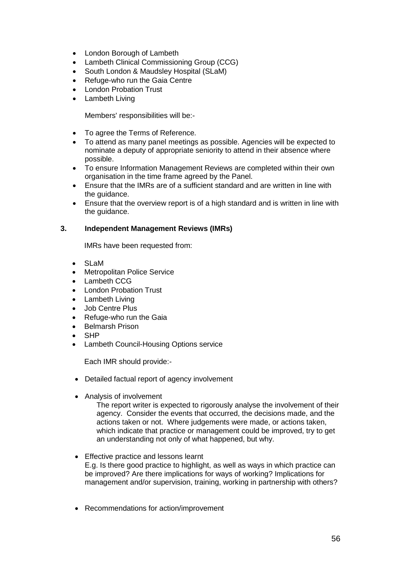- London Borough of Lambeth
- Lambeth Clinical Commissioning Group (CCG)
- South London & Maudsley Hospital (SLaM)
- Refuge-who run the Gaia Centre
- London Probation Trust
- Lambeth Living

Members' responsibilities will be:-

- To agree the Terms of Reference.
- To attend as many panel meetings as possible. Agencies will be expected to nominate a deputy of appropriate seniority to attend in their absence where possible.
- To ensure Information Management Reviews are completed within their own organisation in the time frame agreed by the Panel.
- Ensure that the IMRs are of a sufficient standard and are written in line with the guidance.
- Ensure that the overview report is of a high standard and is written in line with the guidance.

#### **3. Independent Management Reviews (IMRs)**

IMRs have been requested from:

- SLaM
- Metropolitan Police Service
- Lambeth CCG
- London Probation Trust
- Lambeth Living
- Job Centre Plus
- Refuge-who run the Gaia
- Belmarsh Prison
- SHP
- Lambeth Council-Housing Options service

Each IMR should provide:-

- Detailed factual report of agency involvement
- Analysis of involvement

The report writer is expected to rigorously analyse the involvement of their agency. Consider the events that occurred, the decisions made, and the actions taken or not. Where judgements were made, or actions taken, which indicate that practice or management could be improved, try to get an understanding not only of what happened, but why.

- Effective practice and lessons learnt E.g. Is there good practice to highlight, as well as ways in which practice can be improved? Are there implications for ways of working? Implications for management and/or supervision, training, working in partnership with others?
- Recommendations for action/improvement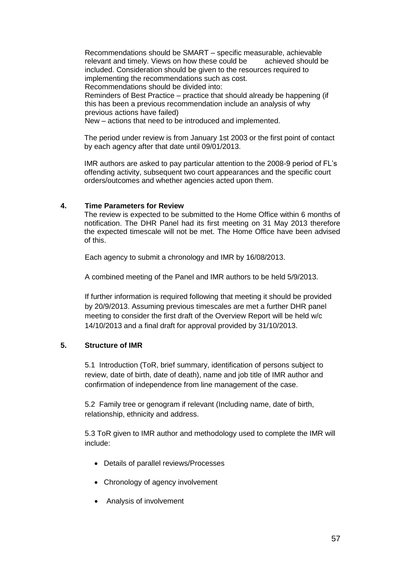Recommendations should be SMART – specific measurable, achievable relevant and timely. Views on how these could be achieved should be included. Consideration should be given to the resources required to implementing the recommendations such as cost.

Recommendations should be divided into:

Reminders of Best Practice – practice that should already be happening (if this has been a previous recommendation include an analysis of why previous actions have failed)

New – actions that need to be introduced and implemented.

The period under review is from January 1st 2003 or the first point of contact by each agency after that date until 09/01/2013.

IMR authors are asked to pay particular attention to the 2008-9 period of FL's offending activity, subsequent two court appearances and the specific court orders/outcomes and whether agencies acted upon them.

# **4. Time Parameters for Review**

The review is expected to be submitted to the Home Office within 6 months of notification. The DHR Panel had its first meeting on 31 May 2013 therefore the expected timescale will not be met. The Home Office have been advised of this.

Each agency to submit a chronology and IMR by 16/08/2013.

A combined meeting of the Panel and IMR authors to be held 5/9/2013.

If further information is required following that meeting it should be provided by 20/9/2013. Assuming previous timescales are met a further DHR panel meeting to consider the first draft of the Overview Report will be held w/c 14/10/2013 and a final draft for approval provided by 31/10/2013.

#### **5. Structure of IMR**

5.1Introduction (ToR, brief summary, identification of persons subject to review, date of birth, date of death), name and job title of IMR author and confirmation of independence from line management of the case.

5.2 Family tree or genogram if relevant (Including name, date of birth, relationship, ethnicity and address.

5.3 ToR given to IMR author and methodology used to complete the IMR will include:

- Details of parallel reviews/Processes
- Chronology of agency involvement
- Analysis of involvement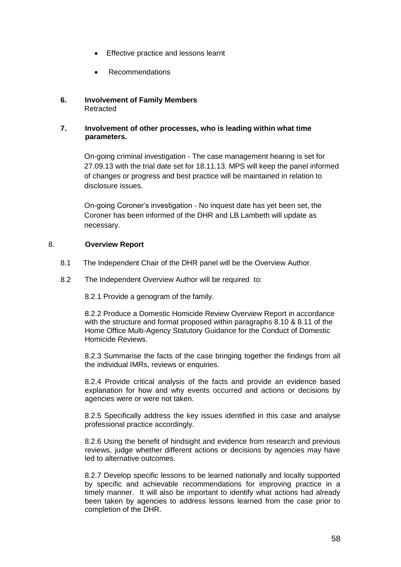- Effective practice and lessons learnt
- Recommendations

## **6. Involvement of Family Members** Retracted

#### **7. Involvement of other processes, who is leading within what time parameters.**

On-going criminal investigation - The case management hearing is set for 27.09.13 with the trial date set for 18.11.13. MPS will keep the panel informed of changes or progress and best practice will be maintained in relation to disclosure issues.

On-going Coroner's investigation - No inquest date has yet been set, the Coroner has been informed of the DHR and LB Lambeth will update as necessary.

# 8. **Overview Report**

- 8.1 The Independent Chair of the DHR panel will be the Overview Author.
- 8.2 The Independent Overview Author will be required to:

8.2.1 Provide a genogram of the family.

8.2.2 Produce a Domestic Homicide Review Overview Report in accordance with the structure and format proposed within paragraphs 8.10 & 8.11 of the Home Office Multi-Agency Statutory Guidance for the Conduct of Domestic Homicide Reviews.

8.2.3 Summarise the facts of the case bringing together the findings from all the individual IMRs, reviews or enquiries.

8.2.4 Provide critical analysis of the facts and provide an evidence based explanation for how and why events occurred and actions or decisions by agencies were or were not taken.

8.2.5 Specifically address the key issues identified in this case and analyse professional practice accordingly.

8.2.6 Using the benefit of hindsight and evidence from research and previous reviews, judge whether different actions or decisions by agencies may have led to alternative outcomes.

8.2.7 Develop specific lessons to be learned nationally and locally supported by specific and achievable recommendations for improving practice in a timely manner. It will also be important to identify what actions had already been taken by agencies to address lessons learned from the case prior to completion of the DHR.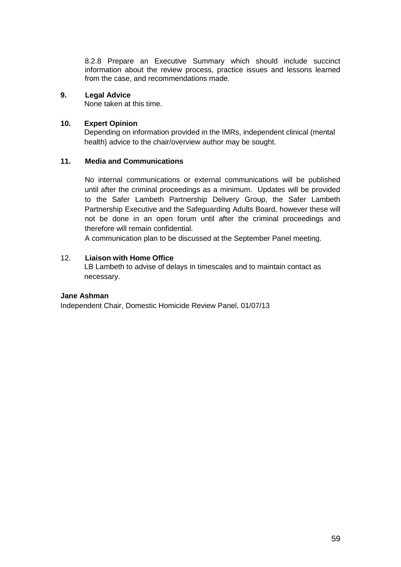8.2.8 Prepare an Executive Summary which should include succinct information about the review process, practice issues and lessons learned from the case, and recommendations made.

# **9. Legal Advice**

None taken at this time.

## **10. Expert Opinion**

Depending on information provided in the IMRs, independent clinical (mental health) advice to the chair/overview author may be sought.

#### **11. Media and Communications**

No internal communications or external communications will be published until after the criminal proceedings as a minimum. Updates will be provided to the Safer Lambeth Partnership Delivery Group, the Safer Lambeth Partnership Executive and the Safeguarding Adults Board, however these will not be done in an open forum until after the criminal proceedings and therefore will remain confidential.

A communication plan to be discussed at the September Panel meeting.

# 12. **Liaison with Home Office**

LB Lambeth to advise of delays in timescales and to maintain contact as necessary.

# **Jane Ashman**

Independent Chair, Domestic Homicide Review Panel, 01/07/13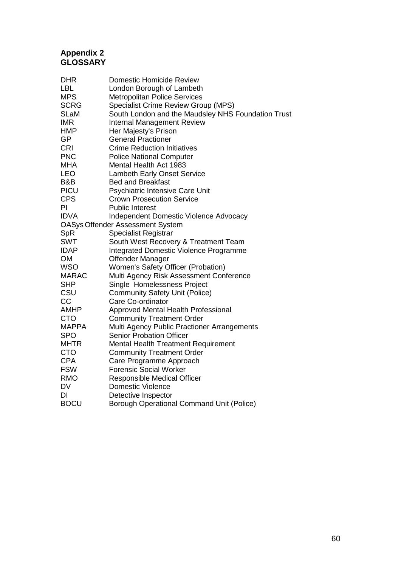# **Appendix 2 GLOSSARY**

| <b>DHR</b>   | <b>Domestic Homicide Review</b>                    |
|--------------|----------------------------------------------------|
| <b>LBL</b>   | London Borough of Lambeth                          |
| <b>MPS</b>   | <b>Metropolitan Police Services</b>                |
| <b>SCRG</b>  | Specialist Crime Review Group (MPS)                |
| <b>SLaM</b>  | South London and the Maudsley NHS Foundation Trust |
| <b>IMR</b>   | <b>Internal Management Review</b>                  |
| <b>HMP</b>   | Her Majesty's Prison                               |
| GP           | <b>General Practioner</b>                          |
| <b>CRI</b>   | <b>Crime Reduction Initiatives</b>                 |
| <b>PNC</b>   | <b>Police National Computer</b>                    |
| <b>MHA</b>   | Mental Health Act 1983                             |
| <b>LEO</b>   | <b>Lambeth Early Onset Service</b>                 |
| B&B          | <b>Bed and Breakfast</b>                           |
| <b>PICU</b>  | Psychiatric Intensive Care Unit                    |
| <b>CPS</b>   | <b>Crown Prosecution Service</b>                   |
| PI           | <b>Public Interest</b>                             |
| <b>IDVA</b>  | <b>Independent Domestic Violence Advocacy</b>      |
|              | <b>OASys Offender Assessment System</b>            |
| SpR          | <b>Specialist Registrar</b>                        |
| <b>SWT</b>   | South West Recovery & Treatment Team               |
| <b>IDAP</b>  | <b>Integrated Domestic Violence Programme</b>      |
| <b>OM</b>    | Offender Manager                                   |
| <b>WSO</b>   | Women's Safety Officer (Probation)                 |
| <b>MARAC</b> | Multi Agency Risk Assessment Conference            |
| <b>SHP</b>   | Single Homelessness Project                        |
| CSU          | <b>Community Safety Unit (Police)</b>              |
| CC           | Care Co-ordinator                                  |
| <b>AMHP</b>  | Approved Mental Health Professional                |
| <b>CTO</b>   | <b>Community Treatment Order</b>                   |
| <b>MAPPA</b> | Multi Agency Public Practioner Arrangements        |
| <b>SPO</b>   | <b>Senior Probation Officer</b>                    |
| <b>MHTR</b>  | Mental Health Treatment Requirement                |
| <b>CTO</b>   | <b>Community Treatment Order</b>                   |
| <b>CPA</b>   | Care Programme Approach                            |
| <b>FSW</b>   | <b>Forensic Social Worker</b>                      |
| <b>RMO</b>   | <b>Responsible Medical Officer</b>                 |
| <b>DV</b>    | <b>Domestic Violence</b>                           |
| DI           | Detective Inspector                                |
| <b>BOCU</b>  | <b>Borough Operational Command Unit (Police)</b>   |
|              |                                                    |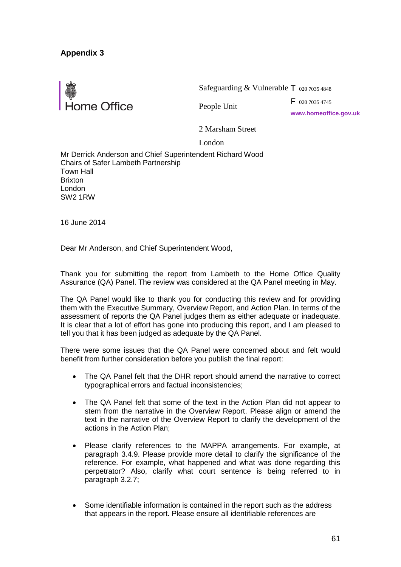

Safeguarding & Vulnerable T 020 7035 4848

People Unit

F 020 7035 4745

**www.homeoffice.gov.uk**

2 Marsham Street

London

Mr Derrick Anderson and Chief Superintendent Richard Wood Chairs of Safer Lambeth Partnership Town Hall Brixton London SW2 1RW

16 June 2014

Dear Mr Anderson, and Chief Superintendent Wood,

Thank you for submitting the report from Lambeth to the Home Office Quality Assurance (QA) Panel. The review was considered at the QA Panel meeting in May.

The QA Panel would like to thank you for conducting this review and for providing them with the Executive Summary, Overview Report, and Action Plan. In terms of the assessment of reports the QA Panel judges them as either adequate or inadequate. It is clear that a lot of effort has gone into producing this report, and I am pleased to tell you that it has been judged as adequate by the QA Panel.

There were some issues that the QA Panel were concerned about and felt would benefit from further consideration before you publish the final report:

- The QA Panel felt that the DHR report should amend the narrative to correct typographical errors and factual inconsistencies;
- The QA Panel felt that some of the text in the Action Plan did not appear to stem from the narrative in the Overview Report. Please align or amend the text in the narrative of the Overview Report to clarify the development of the actions in the Action Plan;
- Please clarify references to the MAPPA arrangements. For example, at paragraph 3.4.9. Please provide more detail to clarify the significance of the reference. For example, what happened and what was done regarding this perpetrator? Also, clarify what court sentence is being referred to in paragraph 3.2.7;
- Some identifiable information is contained in the report such as the address that appears in the report. Please ensure all identifiable references are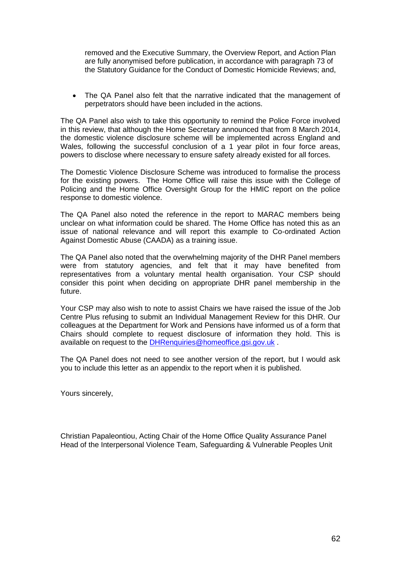removed and the Executive Summary, the Overview Report, and Action Plan are fully anonymised before publication, in accordance with paragraph 73 of the Statutory Guidance for the Conduct of Domestic Homicide Reviews; and,

• The QA Panel also felt that the narrative indicated that the management of perpetrators should have been included in the actions.

The QA Panel also wish to take this opportunity to remind the Police Force involved in this review, that although the Home Secretary announced that from 8 March 2014, the domestic violence disclosure scheme will be implemented across England and Wales, following the successful conclusion of a 1 year pilot in four force areas, powers to disclose where necessary to ensure safety already existed for all forces.

The Domestic Violence Disclosure Scheme was introduced to formalise the process for the existing powers. The Home Office will raise this issue with the College of Policing and the Home Office Oversight Group for the HMIC report on the police response to domestic violence.

The QA Panel also noted the reference in the report to MARAC members being unclear on what information could be shared. The Home Office has noted this as an issue of national relevance and will report this example to Co-ordinated Action Against Domestic Abuse (CAADA) as a training issue.

The QA Panel also noted that the overwhelming majority of the DHR Panel members were from statutory agencies, and felt that it may have benefited from representatives from a voluntary mental health organisation. Your CSP should consider this point when deciding on appropriate DHR panel membership in the future.

Your CSP may also wish to note to assist Chairs we have raised the issue of the Job Centre Plus refusing to submit an Individual Management Review for this DHR. Our colleagues at the Department for Work and Pensions have informed us of a form that Chairs should complete to request disclosure of information they hold. This is available on request to the [DHRenquiries@homeoffice.gsi.gov.uk](mailto:DHRenquiries@homeoffice.gsi.gov.uk) .

The QA Panel does not need to see another version of the report, but I would ask you to include this letter as an appendix to the report when it is published.

Yours sincerely,

Christian Papaleontiou, Acting Chair of the Home Office Quality Assurance Panel Head of the Interpersonal Violence Team, Safeguarding & Vulnerable Peoples Unit